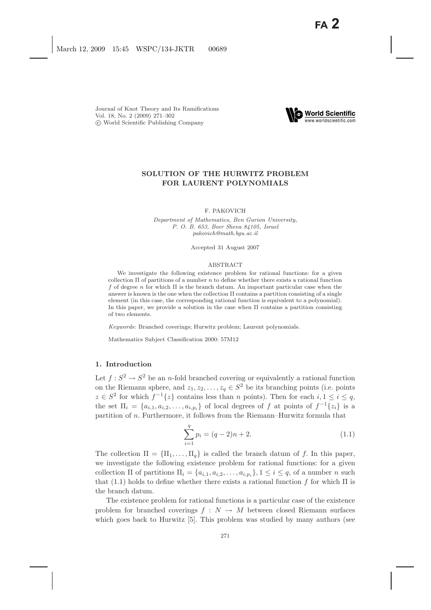

# **SOLUTION OF THE HURWITZ PROBLEM FOR LAURENT POLYNOMIALS**

### F. PAKOVICH

*Department of Mathematics, Ben Gurion University, P. O. B. 653, Beer Sheva 84105, Israel pakovich@math.bgu.ac.il*

Accepted 31 August 2007

#### ABSTRACT

We investigate the following existence problem for rational functions: for a given collection Π of partitions of a number *n* to define whether there exists a rational function *f* of degree *n* for which Π is the branch datum. An important particular case when the answer is known is the one when the collection  $\Pi$  contains a partition consisting of a single element (in this case, the corresponding rational function is equivalent to a polynomial). In this paper, we provide a solution in the case when  $\Pi$  contains a partition consisting of two elements.

*Keywords*: Branched coverings; Hurwitz problem; Laurent polynomials.

Mathematics Subject Classification 2000: 57M12

## **1. Introduction**

Let  $f: S^2 \to S^2$  be an *n*-fold branched covering or equivalently a rational function on the Riemann sphere, and  $z_1, z_2, \ldots, z_q \in S^2$  be its branching points (i.e. points  $z \in S^2$  for which  $f^{-1}{z}$  contains less than n points). Then for each  $i, 1 \leq i \leq q$ , the set  $\Pi_i = \{a_{i,1}, a_{i,2}, \ldots, a_{i,p_i}\}\$  of local degrees of f at points of  $f^{-1}\{z_i\}$  is a partition of n. Furthermore, it follows from the Riemann–Hurwitz formula that

$$
\sum_{i=1}^{q} p_i = (q-2)n + 2.
$$
 (1.1)

The collection  $\Pi = {\Pi_1, \ldots, \Pi_q}$  is called the branch datum of f. In this paper, we investigate the following existence problem for rational functions: for a given collection  $\Pi$  of partitions  $\Pi_i = \{a_{i,1}, a_{i,2}, \ldots, a_{i,p_i}\}, 1 \leq i \leq q$ , of a number *n* such that (1.1) holds to define whether there exists a rational function f for which  $\Pi$  is the branch datum.

The existence problem for rational functions is a particular case of the existence problem for branched coverings  $f : N \to M$  between closed Riemann surfaces which goes back to Hurwitz [5]. This problem was studied by many authors (see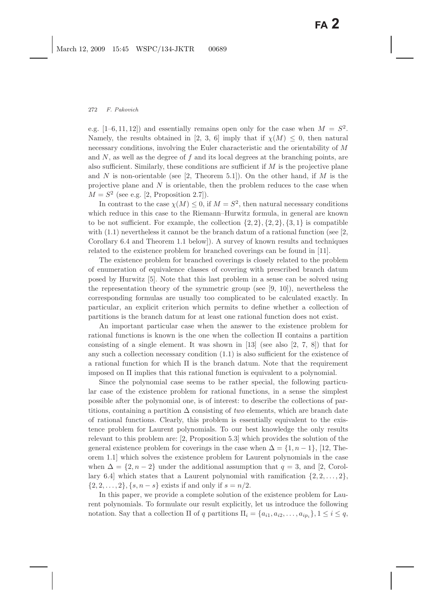e.g.  $[1-6, 11, 12]$  and essentially remains open only for the case when  $M = S^2$ . Namely, the results obtained in [2, 3, 6] imply that if  $\chi(M) \leq 0$ , then natural necessary conditions, involving the Euler characteristic and the orientability of M and  $N$ , as well as the degree of  $f$  and its local degrees at the branching points, are also sufficient. Similarly, these conditions are sufficient if  $M$  is the projective plane and N is non-orientable (see [2, Theorem 5.1]). On the other hand, if M is the projective plane and  $N$  is orientable, then the problem reduces to the case when  $M = S<sup>2</sup>$  (see e.g. [2, Proposition 2.7]).

In contrast to the case  $\chi(M) \leq 0$ , if  $M = S^2$ , then natural necessary conditions which reduce in this case to the Riemann–Hurwitz formula, in general are known to be not sufficient. For example, the collection  $\{2, 2\}, \{2, 2\}, \{3, 1\}$  is compatible with  $(1.1)$  nevertheless it cannot be the branch datum of a rational function (see  $[2,$ Corollary 6.4 and Theorem 1.1 below]). A survey of known results and techniques related to the existence problem for branched coverings can be found in [11].

The existence problem for branched coverings is closely related to the problem of enumeration of equivalence classes of covering with prescribed branch datum posed by Hurwitz [5]. Note that this last problem in a sense can be solved using the representation theory of the symmetric group (see [9, 10]), nevertheless the corresponding formulas are usually too complicated to be calculated exactly. In particular, an explicit criterion which permits to define whether a collection of partitions is the branch datum for at least one rational function does not exist.

An important particular case when the answer to the existence problem for rational functions is known is the one when the collection Π contains a partition consisting of a single element. It was shown in  $[13]$  (see also  $[2, 7, 8]$ ) that for any such a collection necessary condition (1.1) is also sufficient for the existence of a rational function for which  $\Pi$  is the branch datum. Note that the requirement imposed on Π implies that this rational function is equivalent to a polynomial.

Since the polynomial case seems to be rather special, the following particular case of the existence problem for rational functions, in a sense the simplest possible after the polynomial one, is of interest: to describe the collections of partitions, containing a partition  $\Delta$  consisting of *two* elements, which are branch date of rational functions. Clearly, this problem is essentially equivalent to the existence problem for Laurent polynomials. To our best knowledge the only results relevant to this problem are: [2, Proposition 5.3] which provides the solution of the general existence problem for coverings in the case when  $\Delta = \{1, n-1\}$ , [12, Theorem 1.1] which solves the existence problem for Laurent polynomials in the case when  $\Delta = \{2, n-2\}$  under the additional assumption that  $q = 3$ , and [2, Corollary 6.4] which states that a Laurent polynomial with ramification  $\{2, 2, \ldots, 2\}$ ,  $\{2, 2, ..., 2\}, \{s, n - s\}$  exists if and only if  $s = n/2$ .

In this paper, we provide a complete solution of the existence problem for Laurent polynomials. To formulate our result explicitly, let us introduce the following notation. Say that a collection  $\Pi$  of q partitions  $\Pi_i = \{a_{i1}, a_{i2}, \ldots, a_{ip_i}\}\ 1 \leq i \leq q$ ,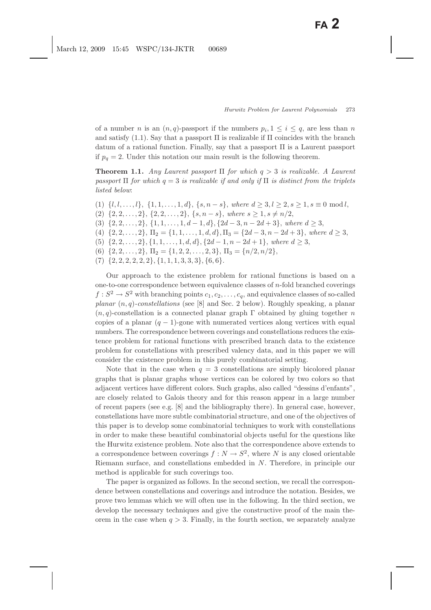of a number n is an  $(n, q)$ -passport if the numbers  $p_i, 1 \leq i \leq q$ , are less than n and satisfy  $(1.1)$ . Say that a passport  $\Pi$  is realizable if  $\Pi$  coincides with the branch datum of a rational function. Finally, say that a passport  $\Pi$  is a Laurent passport if  $p_q = 2$ . Under this notation our main result is the following theorem.

**Theorem 1.1.** *Any Laurent passport* Π *for which* q > 3 *is realizable. A Laurent passport*  $\Pi$  *for which*  $q = 3$  *is realizable if and only if*  $\Pi$  *is distinct from the triplets listed below*:

- (1)  $\{l, l, \ldots, l\}, \{1, 1, \ldots, 1, d\}, \{s, n s\},$  where  $d \geq 3, l \geq 2, s \geq 1, s \equiv 0 \mod l$ ,
- (2)  $\{2, 2, \ldots, 2\}, \{2, 2, \ldots, 2\}, \{s, n s\}, where  $s \geq 1, s \neq n/2$ ,$
- (3)  $\{2, 2, \ldots, 2\}, \{1, 1, \ldots, 1, d 1, d\}, \{2d 3, n 2d + 3\}, where  $d \geq 3$ ,$
- (4)  $\{2, 2, \ldots, 2\}, \Pi_2 = \{1, 1, \ldots, 1, d, d\}, \Pi_3 = \{2d 3, n 2d + 3\},$  where  $d \geq 3$ ,
- (5)  $\{2, 2, \ldots, 2\}, \{1, 1, \ldots, 1, d, d\}, \{2d 1, n 2d + 1\}, where  $d \geq 3$ ,$
- (6)  $\{2, 2, \ldots, 2\}, \Pi_2 = \{1, 2, 2, \ldots, 2, 3\}, \Pi_3 = \{n/2, n/2\},\$
- $(7) \{2, 2, 2, 2, 2, 2\}, \{1, 1, 1, 3, 3, 3\}, \{6, 6\}.$

Our approach to the existence problem for rational functions is based on a one-to-one correspondence between equivalence classes of n-fold branched coverings  $f: S^2 \to S^2$  with branching points  $c_1, c_2, \ldots, c_q$ , and equivalence classes of so-called *planar* (n, q)*-constellations* (see [8] and Sec. 2 below). Roughly speaking, a planar  $(n, q)$ -constellation is a connected planar graph Γ obtained by gluing together n copies of a planar  $(q - 1)$ -gone with numerated vertices along vertices with equal numbers. The correspondence between coverings and constellations reduces the existence problem for rational functions with prescribed branch data to the existence problem for constellations with prescribed valency data, and in this paper we will consider the existence problem in this purely combinatorial setting.

Note that in the case when  $q = 3$  constellations are simply bicolored planar graphs that is planar graphs whose vertices can be colored by two colors so that adjacent vertices have different colors. Such graphs, also called "dessins d'enfants", are closely related to Galois theory and for this reason appear in a large number of recent papers (see e.g. [8] and the bibliography there). In general case, however, constellations have more subtle combinatorial structure, and one of the objectives of this paper is to develop some combinatorial techniques to work with constellations in order to make these beautiful combinatorial objects useful for the questions like the Hurwitz existence problem. Note also that the correspondence above extends to a correspondence between coverings  $f : N \to S^2$ , where N is any closed orientable Riemann surface, and constellations embedded in N. Therefore, in principle our method is applicable for such coverings too.

The paper is organized as follows. In the second section, we recall the correspondence between constellations and coverings and introduce the notation. Besides, we prove two lemmas which we will often use in the following. In the third section, we develop the necessary techniques and give the constructive proof of the main theorem in the case when  $q > 3$ . Finally, in the fourth section, we separately analyze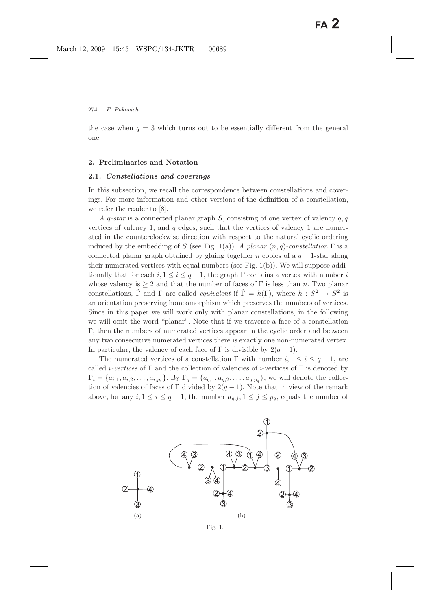the case when  $q = 3$  which turns out to be essentially different from the general one.

#### **2. Preliminaries and Notation**

## **2.1.** *Constellations and coverings*

In this subsection, we recall the correspondence between constellations and coverings. For more information and other versions of the definition of a constellation, we refer the reader to [8].

*A* q*-star* is a connected planar graph S, consisting of one vertex of valency q, q vertices of valency 1, and  $q$  edges, such that the vertices of valency 1 are numerated in the counterclockwise direction with respect to the natural cyclic ordering induced by the embedding of S (see Fig. 1(a)). *A planar*  $(n, q)$ -constellation  $\Gamma$  is a connected planar graph obtained by gluing together n copies of a  $q - 1$ -star along their numerated vertices with equal numbers (see Fig. 1(b)). We will suppose additionally that for each  $i, 1 \leq i \leq q-1$ , the graph  $\Gamma$  contains a vertex with number i whose valency is  $\geq 2$  and that the number of faces of  $\Gamma$  is less than n. Two planar constellations,  $\tilde{\Gamma}$  and  $\Gamma$  are called *equivalent* if  $\tilde{\Gamma} = h(\Gamma)$ , where  $h : S^2 \to S^2$  is an orientation preserving homeomorphism which preserves the numbers of vertices. Since in this paper we will work only with planar constellations, in the following we will omit the word "planar". Note that if we traverse a face of a constellation Γ, then the numbers of numerated vertices appear in the cyclic order and between any two consecutive numerated vertices there is exactly one non-numerated vertex. In particular, the valency of each face of  $\Gamma$  is divisible by  $2(q-1)$ .

The numerated vertices of a constellation  $\Gamma$  with number  $i, 1 \leq i \leq q-1$ , are called *i*-vertices of  $\Gamma$  and the collection of valencies of *i*-vertices of  $\Gamma$  is denoted by  $\Gamma_i = \{a_{i,1}, a_{i,2}, \ldots, a_{i,p_i}\}.$  By  $\Gamma_q = \{a_{q,1}, a_{q,2}, \ldots, a_{q,p_q}\},$  we will denote the collection of valencies of faces of Γ divided by  $2(q-1)$ . Note that in view of the remark above, for any  $i, 1 \leq i \leq q-1$ , the number  $a_{q,j}, 1 \leq j \leq p_q$ , equals the number of



Fig. 1.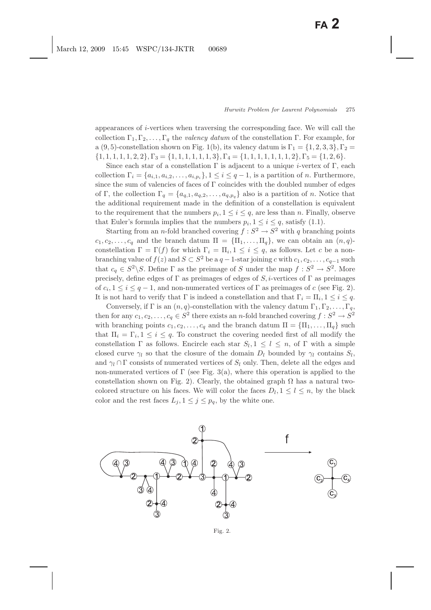appearances of  $i$ -vertices when traversing the corresponding face. We will call the collection  $\Gamma_1, \Gamma_2, \ldots, \Gamma_q$  the *valency datum* of the constellation Γ. For example, for a (9, 5)-constellation shown on Fig. 1(b), its valency datum is  $\Gamma_1 = \{1, 2, 3, 3\}, \Gamma_2 =$  $\{1, 1, 1, 1, 1, 2, 2\}, \Gamma_3 = \{1, 1, 1, 1, 1, 3\}, \Gamma_4 = \{1, 1, 1, 1, 1, 1, 1, 2\}, \Gamma_5 = \{1, 2, 6\}.$ 

Since each star of a constellation  $\Gamma$  is adjacent to a unique *i*-vertex of  $\Gamma$ , each collection  $\Gamma_i = \{a_{i,1}, a_{i,2}, \ldots, a_{i,p_i}\}, 1 \leq i \leq q-1$ , is a partition of *n*. Furthermore, since the sum of valencies of faces of Γ coincides with the doubled number of edges of Γ, the collection  $\Gamma_q = \{a_{q,1}, a_{q,2}, \ldots, a_{q,p_q}\}\$ also is a partition of *n*. Notice that the additional requirement made in the definition of a constellation is equivalent to the requirement that the numbers  $p_i$ ,  $1 \leq i \leq q$ , are less than *n*. Finally, observe that Euler's formula implies that the numbers  $p_i$ ,  $1 \leq i \leq q$ , satisfy (1.1).

Starting from an *n*-fold branched covering  $f : S^2 \to S^2$  with q branching points  $c_1, c_2, \ldots, c_q$  and the branch datum  $\Pi = {\Pi_1, \ldots, \Pi_q}$ , we can obtain an  $(n, q)$ constellation  $\Gamma = \Gamma(f)$  for which  $\Gamma_i = \Pi_i, 1 \leq i \leq q$ , as follows. Let c be a nonbranching value of  $f(z)$  and  $S \subset S^2$  be a  $q-1$ -star joining c with  $c_1, c_2, \ldots, c_{q-1}$  such that  $c_q \in S^2 \backslash S$ . Define  $\Gamma$  as the preimage of S under the map  $f : S^2 \to S^2$ . More precisely, define edges of  $\Gamma$  as preimages of edges of S, *i*-vertices of  $\Gamma$  as preimages of  $c_i, 1 \leq i \leq q-1$ , and non-numerated vertices of  $\Gamma$  as preimages of c (see Fig. 2). It is not hard to verify that  $\Gamma$  is indeed a constellation and that  $\Gamma_i = \Pi_i, 1 \leq i \leq q$ .

Conversely, if  $\Gamma$  is an  $(n, q)$ -constellation with the valency datum  $\Gamma_1, \Gamma_2, \ldots, \Gamma_q$ , then for any  $c_1, c_2, \ldots, c_q \in S^2$  there exists an *n*-fold branched covering  $f : S^2 \to S^2$ with branching points  $c_1, c_2, \ldots, c_q$  and the branch datum  $\Pi = {\Pi_1, \ldots, \Pi_q}$  such that  $\Pi_i = \Gamma_i, 1 \leq i \leq q$ . To construct the covering needed first of all modify the constellation  $\Gamma$  as follows. Encircle each star  $S_l, 1 \leq l \leq n$ , of  $\Gamma$  with a simple closed curve  $\gamma_l$  so that the closure of the domain  $D_l$  bounded by  $\gamma_l$  contains  $S_l$ , and  $\gamma_l \cap \Gamma$  consists of numerated vertices of  $S_l$  only. Then, delete all the edges and non-numerated vertices of  $\Gamma$  (see Fig. 3(a), where this operation is applied to the constellation shown on Fig. 2). Clearly, the obtained graph  $\Omega$  has a natural twocolored structure on his faces. We will color the faces  $D_l, 1 \leq l \leq n$ , by the black color and the rest faces  $L_j$ ,  $1 \leq j \leq p_q$ , by the white one.



Fig. 2.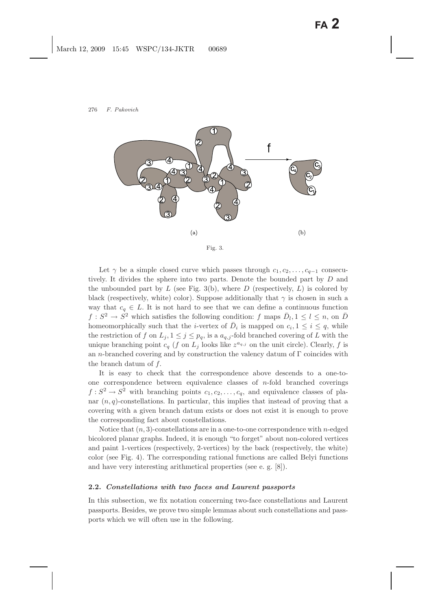

Fig. 3.

Let  $\gamma$  be a simple closed curve which passes through  $c_1, c_2, \ldots, c_{q-1}$  consecutively. It divides the sphere into two parts. Denote the bounded part by D and the unbounded part by  $L$  (see Fig. 3(b), where  $D$  (respectively,  $L$ ) is colored by black (respectively, white) color). Suppose additionally that  $\gamma$  is chosen in such a way that  $c_q \in L$ . It is not hard to see that we can define a continuous function  $f: S^2 \to S^2$  which satisfies the following condition: f maps  $\overline{D}_l, 1 \leq l \leq n$ , on  $\overline{D}$ homeomorphically such that the *i*-vertex of  $\overline{D}_i$  is mapped on  $c_i, 1 \leq i \leq q$ , while the restriction of f on  $L_j$ ,  $1 \leq j \leq p_q$ , is a  $a_{q,j}$ -fold branched covering of L with the unique branching point  $c_q$  (f on  $L_j$  looks like  $z^{a_{q,j}}$  on the unit circle). Clearly, f is an n-branched covering and by construction the valency datum of Γ coincides with the branch datum of f.

It is easy to check that the correspondence above descends to a one-toone correspondence between equivalence classes of  $n$ -fold branched coverings  $f: S^2 \to S^2$  with branching points  $c_1, c_2, \ldots, c_q$ , and equivalence classes of planar  $(n, q)$ -constellations. In particular, this implies that instead of proving that a covering with a given branch datum exists or does not exist it is enough to prove the corresponding fact about constellations.

Notice that  $(n, 3)$ -constellations are in a one-to-one correspondence with n-edged bicolored planar graphs. Indeed, it is enough "to forget" about non-colored vertices and paint 1-vertices (respectively, 2-vertices) by the back (respectively, the white) color (see Fig. 4). The corresponding rational functions are called Belyi functions and have very interesting arithmetical properties (see e. g. [8]).

## **2.2.** *Constellations with two faces and Laurent passports*

In this subsection, we fix notation concerning two-face constellations and Laurent passports. Besides, we prove two simple lemmas about such constellations and passports which we will often use in the following.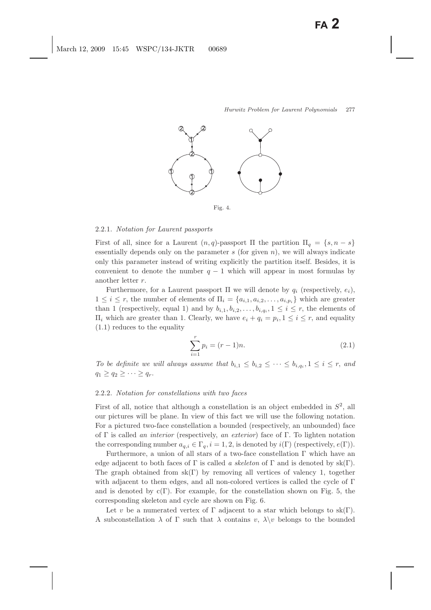

Fig. 4.

### 2.2.1. *Notation for Laurent passports*

First of all, since for a Laurent  $(n, q)$ -passport  $\Pi$  the partition  $\Pi_q = \{s, n - s\}$ essentially depends only on the parameter  $s$  (for given  $n$ ), we will always indicate only this parameter instead of writing explicitly the partition itself. Besides, it is convenient to denote the number  $q - 1$  which will appear in most formulas by another letter r.

Furthermore, for a Laurent passport  $\Pi$  we will denote by  $q_i$  (respectively,  $e_i$ ),  $1 \leq i \leq r$ , the number of elements of  $\Pi_i = \{a_{i,1}, a_{i,2}, \ldots, a_{i,p_i}\}\$  which are greater than 1 (respectively, equal 1) and by  $b_{i,1}, b_{i,2},...,b_{i,q_i}, 1 \leq i \leq r$ , the elements of  $\Pi_i$  which are greater than 1. Clearly, we have  $e_i + q_i = p_i, 1 \leq i \leq r$ , and equality (1.1) reduces to the equality

$$
\sum_{i=1}^{r} p_i = (r-1)n.
$$
\n(2.1)

*To be definite we will always assume that*  $b_{i,1} \leq b_{i,2} \leq \cdots \leq b_{i,q_i}, 1 \leq i \leq r$ , and  $q_1 \geq q_2 \geq \cdots \geq q_r$ .

### 2.2.2. *Notation for constellations with two faces*

First of all, notice that although a constellation is an object embedded in  $S^2$ , all our pictures will be plane. In view of this fact we will use the following notation. For a pictured two-face constellation a bounded (respectively, an unbounded) face of Γ is called *an interior* (respectively, *an exterior*) face of Γ. To lighten notation the corresponding number  $a_{q,i} \in \Gamma_q$ ,  $i = 1, 2$ , is denoted by  $i(\Gamma)$  (respectively,  $e(\Gamma)$ ).

Furthermore, a union of all stars of a two-face constellation  $\Gamma$  which have an edge adjacent to both faces of  $\Gamma$  is called *a skeleton* of  $\Gamma$  and is denoted by sk $(\Gamma)$ . The graph obtained from  $sk(\Gamma)$  by removing all vertices of valency 1, together with adjacent to them edges, and all non-colored vertices is called the cycle of  $\Gamma$ and is denoted by  $c(\Gamma)$ . For example, for the constellation shown on Fig. 5, the corresponding skeleton and cycle are shown on Fig. 6.

Let v be a numerated vertex of  $\Gamma$  adjacent to a star which belongs to sk( $\Gamma$ ). A subconstellation  $\lambda$  of  $\Gamma$  such that  $\lambda$  contains v,  $\lambda \backslash v$  belongs to the bounded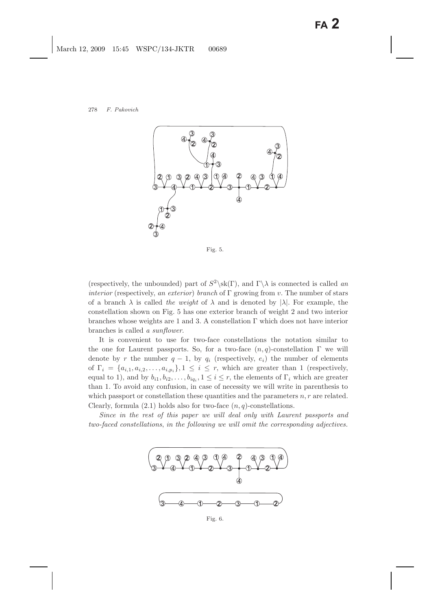

Fig. 5.

(respectively, the unbounded) part of  $S^2\setminus sk(\Gamma)$ , and  $\Gamma\setminus\lambda$  is connected is called *an interior* (respectively, *an exterior*) *branch* of Γ growing from v. The number of stars of a branch  $\lambda$  is called *the weight* of  $\lambda$  and is denoted by  $|\lambda|$ . For example, the constellation shown on Fig. 5 has one exterior branch of weight 2 and two interior branches whose weights are 1 and 3. A constellation Γ which does not have interior branches is called *a sunflower*.

It is convenient to use for two-face constellations the notation similar to the one for Laurent passports. So, for a two-face  $(n, q)$ -constellation  $\Gamma$  we will denote by r the number  $q - 1$ , by  $q_i$  (respectively,  $e_i$ ) the number of elements of  $\Gamma_i = \{a_{i,1}, a_{i,2}, \ldots, a_{i,p_i}\}, 1 \leq i \leq r$ , which are greater than 1 (respectively, equal to 1), and by  $b_{i1}, b_{i2},...,b_{iq_i}, 1 \leq i \leq r$ , the elements of  $\Gamma_i$  which are greater than 1. To avoid any confusion, in case of necessity we will write in parenthesis to which passport or constellation these quantities and the parameters  $n, r$  are related. Clearly, formula  $(2.1)$  holds also for two-face  $(n, q)$ -constellations.

*Since in the rest of this paper we will deal only with Laurent passports and two-faced constellations*, *in the following we will omit the corresponding adjectives.*



Fig. 6.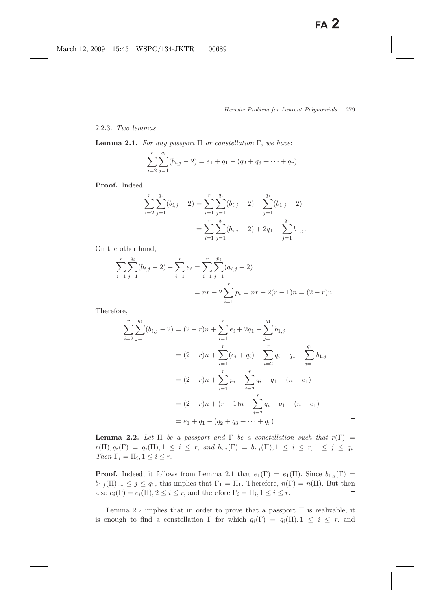### 2.2.3. *Two lemmas*

**Lemma 2.1.** *For any passport* Π *or constellation* Γ, *we have*:

$$
\sum_{i=2}^{r} \sum_{j=1}^{q_i} (b_{i,j} - 2) = e_1 + q_1 - (q_2 + q_3 + \dots + q_r).
$$

**Proof.** Indeed,

$$
\sum_{i=2}^{r} \sum_{j=1}^{q_i} (b_{i,j} - 2) = \sum_{i=1}^{r} \sum_{j=1}^{q_i} (b_{i,j} - 2) - \sum_{j=1}^{q_1} (b_{1,j} - 2)
$$
  
= 
$$
\sum_{i=1}^{r} \sum_{j=1}^{q_i} (b_{i,j} - 2) + 2q_1 - \sum_{j=1}^{q_1} b_{1,j}.
$$

On the other hand,

$$
\sum_{i=1}^{r} \sum_{j=1}^{q_i} (b_{i,j} - 2) - \sum_{i=1}^{r} e_i = \sum_{i=1}^{r} \sum_{j=1}^{p_i} (a_{i,j} - 2)
$$
  
=  $nr - 2 \sum_{i=1}^{r} p_i = nr - 2(r - 1)n = (2 - r)n$ .

Therefore,

$$
\sum_{i=2}^{r} \sum_{j=1}^{q_i} (b_{i,j} - 2) = (2 - r)n + \sum_{i=1}^{r} e_i + 2q_1 - \sum_{j=1}^{q_1} b_{1,j}
$$
  
=  $(2 - r)n + \sum_{i=1}^{r} (e_i + q_i) - \sum_{i=2}^{r} q_i + q_1 - \sum_{j=1}^{q_1} b_{1,j}$   
=  $(2 - r)n + \sum_{i=1}^{r} p_i - \sum_{i=2}^{r} q_i + q_1 - (n - e_1)$   
=  $(2 - r)n + (r - 1)n - \sum_{i=2}^{r} q_i + q_1 - (n - e_1)$   
=  $e_1 + q_1 - (q_2 + q_3 + \dots + q_r).$ 

**Lemma 2.2.** *Let*  $\Pi$  *be a passport and*  $\Gamma$  *be a constellation such that*  $r(\Gamma)$  =  $r(\Pi), q_i(\Gamma) = q_i(\Pi), 1 \leq i \leq r$ , and  $b_{i,j}(\Gamma) = b_{i,j}(\Pi), 1 \leq i \leq r, 1 \leq j \leq q_i$ . *Then*  $\Gamma_i = \Pi_i, 1 \leq i \leq r$ .

**Proof.** Indeed, it follows from Lemma 2.1 that  $e_1(\Gamma) = e_1(\Pi)$ . Since  $b_{1,j}(\Gamma) =$  $b_{1,j}(\Pi), 1 \leq j \leq q_1$ , this implies that  $\Gamma_1 = \Pi_1$ . Therefore,  $n(\Gamma) = n(\Pi)$ . But then also  $e_i(\Gamma) = e_i(\Pi), 2 \leq i \leq r$ , and therefore  $\Gamma_i = \Pi_i, 1 \leq i \leq r$ .  $\Box$ 

Lemma 2.2 implies that in order to prove that a passport  $\Pi$  is realizable, it is enough to find a constellation  $\Gamma$  for which  $q_i(\Gamma) = q_i(\Pi), 1 \leq i \leq r$ , and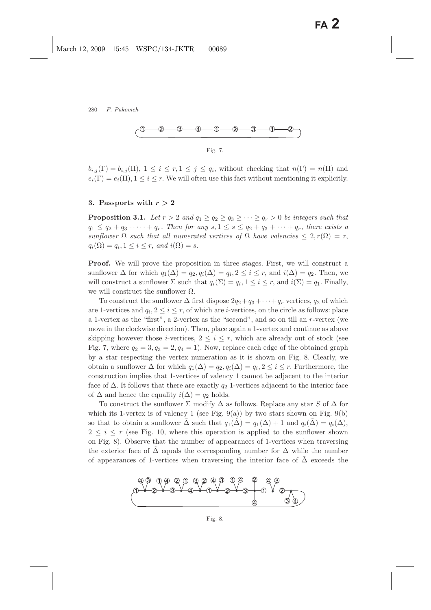

Fig. 7.

 $b_{i,j}(\Gamma) = b_{i,j}(\Pi), 1 \leq i \leq r, 1 \leq j \leq q_i$ , without checking that  $n(\Gamma) = n(\Pi)$  and  $e_i(\Gamma) = e_i(\Pi), 1 \leq i \leq r$ . We will often use this fact without mentioning it explicitly.

#### **3.** Passports with  $r > 2$

**Proposition 3.1.** Let  $r > 2$  and  $q_1 \geq q_2 \geq q_3 \geq \cdots \geq q_r > 0$  be integers such that  $q_1 \leq q_2 + q_3 + \cdots + q_r$ *. Then for any*  $s, 1 \leq s \leq q_2 + q_3 + \cdots + q_r$ *, there exists a sunflower*  $\Omega$  *such that all numerated vertices of*  $\Omega$  *have valencies*  $\leq 2, r(\Omega) = r$ ,  $q_i(\Omega) = q_i, 1 \leq i \leq r$ , and  $i(\Omega) = s$ .

**Proof.** We will prove the proposition in three stages. First, we will construct a sunflower  $\Delta$  for which  $q_1(\Delta) = q_2, q_i(\Delta) = q_i, 2 \leq i \leq r$ , and  $i(\Delta) = q_2$ . Then, we will construct a sunflower  $\Sigma$  such that  $q_i(\Sigma) = q_i, 1 \leq i \leq r$ , and  $i(\Sigma) = q_1$ . Finally, we will construct the sunflower  $\Omega$ .

To construct the sunflower  $\Delta$  first dispose  $2q_2+q_3+\cdots+q_r$  vertices,  $q_2$  of which are 1-vertices and  $q_i$ ,  $2 \leq i \leq r$ , of which are *i*-vertices, on the circle as follows: place a 1-vertex as the "first", a 2-vertex as the "second", and so on till an r-vertex (we move in the clockwise direction). Then, place again a 1-vertex and continue as above skipping however those *i*-vertices,  $2 \leq i \leq r$ , which are already out of stock (see Fig. 7, where  $q_2 = 3, q_3 = 2, q_4 = 1$ . Now, replace each edge of the obtained graph by a star respecting the vertex numeration as it is shown on Fig. 8. Clearly, we obtain a sunflower  $\Delta$  for which  $q_1(\Delta) = q_2, q_i(\Delta) = q_i, 2 \leq i \leq r$ . Furthermore, the construction implies that 1-vertices of valency 1 cannot be adjacent to the interior face of  $\Delta$ . It follows that there are exactly  $q_2$  1-vertices adjacent to the interior face of  $\Delta$  and hence the equality  $i(\Delta) = q_2$  holds.

To construct the sunflower  $\Sigma$  modify  $\Delta$  as follows. Replace any star S of  $\Delta$  for which its 1-vertex is of valency 1 (see Fig. 9(a)) by two stars shown on Fig. 9(b) so that to obtain a sunflower  $\tilde{\Delta}$  such that  $q_1(\tilde{\Delta}) = q_1(\Delta) + 1$  and  $q_i(\tilde{\Delta}) = q_i(\Delta)$ ,  $2 \leq i \leq r$  (see Fig. 10, where this operation is applied to the sunflower shown on Fig. 8). Observe that the number of appearances of 1-vertices when traversing the exterior face of  $\Delta$  equals the corresponding number for  $\Delta$  while the number of appearances of 1-vertices when traversing the interior face of  $\Delta$  exceeds the



Fig. 8.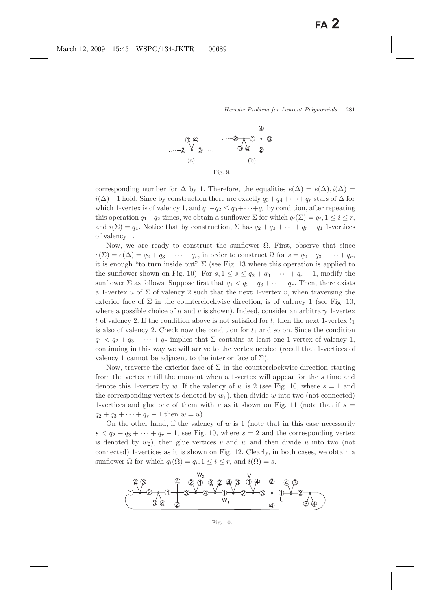

corresponding number for  $\Delta$  by 1. Therefore, the equalities  $e(\tilde{\Delta}) = e(\Delta), i(\tilde{\Delta}) =$  $i(\Delta)$  + 1 hold. Since by construction there are exactly  $q_3 + q_4 + \cdots + q_r$  stars of  $\Delta$  for which 1-vertex is of valency 1, and  $q_1 - q_2 \leq q_3 + \cdots + q_r$  by condition, after repeating this operation  $q_1 - q_2$  times, we obtain a sunflower  $\Sigma$  for which  $q_i(\Sigma) = q_i, 1 \leq i \leq r$ , and  $i(\Sigma) = q_1$ . Notice that by construction,  $\Sigma$  has  $q_2 + q_3 + \cdots + q_r - q_1$  1-vertices of valency 1.

Now, we are ready to construct the sunflower  $\Omega$ . First, observe that since  $e(\Sigma) = e(\Delta) = q_2 + q_3 + \cdots + q_r$ , in order to construct  $\Omega$  for  $s = q_2 + q_3 + \cdots + q_r$ , it is enough "to turn inside out"  $\Sigma$  (see Fig. 13 where this operation is applied to the sunflower shown on Fig. 10). For  $s, 1 \le s \le q_2 + q_3 + \cdots + q_r - 1$ , modify the sunflower  $\Sigma$  as follows. Suppose first that  $q_1 < q_2 + q_3 + \cdots + q_r$ . Then, there exists a 1-vertex u of  $\Sigma$  of valency 2 such that the next 1-vertex v, when traversing the exterior face of  $\Sigma$  in the counterclockwise direction, is of valency 1 (see Fig. 10, where a possible choice of u and v is shown). Indeed, consider an arbitrary 1-vertex t of valency 2. If the condition above is not satisfied for t, then the next 1-vertex  $t_1$ is also of valency 2. Check now the condition for  $t_1$  and so on. Since the condition  $q_1 < q_2 + q_3 + \cdots + q_r$  implies that  $\Sigma$  contains at least one 1-vertex of valency 1, continuing in this way we will arrive to the vertex needed (recall that 1-vertices of valency 1 cannot be adjacent to the interior face of  $\Sigma$ ).

Now, traverse the exterior face of  $\Sigma$  in the counterclockwise direction starting from the vertex  $v$  till the moment when a 1-vertex will appear for the  $s$  time and denote this 1-vertex by w. If the valency of w is 2 (see Fig. 10, where  $s = 1$  and the corresponding vertex is denoted by  $w_1$ ), then divide w into two (not connected) 1-vertices and glue one of them with v as it shown on Fig. 11 (note that if  $s =$  $q_2 + q_3 + \cdots + q_r - 1$  then  $w = u$ ).

On the other hand, if the valency of  $w$  is 1 (note that in this case necessarily  $s < q_2 + q_3 + \cdots + q_r - 1$ , see Fig. 10, where  $s = 2$  and the corresponding vertex is denoted by  $w_2$ ), then glue vertices v and w and then divide u into two (not connected) 1-vertices as it is shown on Fig. 12. Clearly, in both cases, we obtain a sunflower  $\Omega$  for which  $q_i(\Omega) = q_i, 1 \leq i \leq r$ , and  $i(\Omega) = s$ .

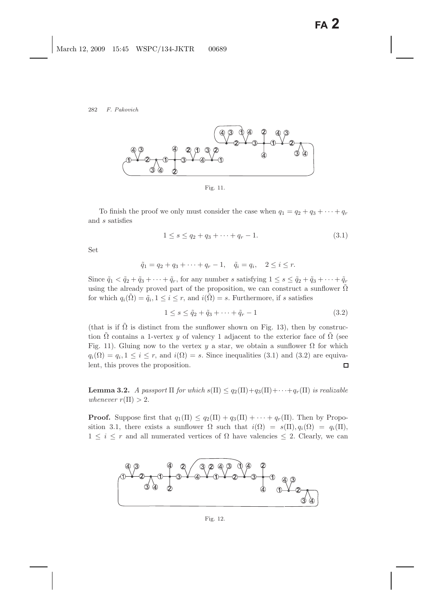

Fig. 11.

To finish the proof we only must consider the case when  $q_1 = q_2 + q_3 + \cdots + q_r$ and s satisfies

$$
1 \le s \le q_2 + q_3 + \dots + q_r - 1. \tag{3.1}
$$

Set

$$
\tilde{q}_1 = q_2 + q_3 + \cdots + q_r - 1, \quad \tilde{q}_i = q_i, \quad 2 \le i \le r.
$$

Since  $\tilde{q}_1 < \tilde{q}_2 + \tilde{q}_3 + \cdots + \tilde{q}_r$ , for any number s satisfying  $1 \leq s \leq \tilde{q}_2 + \tilde{q}_3 + \cdots + \tilde{q}_r$ using the already proved part of the proposition, we can construct a sunflower  $\hat{\Omega}$ for which  $q_i(\tilde{\Omega}) = \tilde{q}_i, 1 \leq i \leq r$ , and  $i(\tilde{\Omega}) = s$ . Furthermore, if s satisfies

$$
1 \le s \le \tilde{q}_2 + \tilde{q}_3 + \dots + \tilde{q}_r - 1 \tag{3.2}
$$

(that is if  $\Omega$  is distinct from the sunflower shown on Fig. 13), then by construction  $\Omega$  contains a 1-vertex y of valency 1 adjacent to the exterior face of  $\Omega$  (see Fig. 11). Gluing now to the vertex y a star, we obtain a sunflower  $\Omega$  for which  $q_i(\Omega) = q_i, 1 \leq i \leq r$ , and  $i(\Omega) = s$ . Since inequalities (3.1) and (3.2) are equivalent, this proves the proposition.  $\Box$ 

**Lemma 3.2.** *A passport*  $\Pi$  *for which*  $s(\Pi) \leq q_2(\Pi) + q_3(\Pi) + \cdots + q_r(\Pi)$  *is realizable whenever*  $r(\Pi) > 2$ .

**Proof.** Suppose first that  $q_1(\Pi) \leq q_2(\Pi) + q_3(\Pi) + \cdots + q_r(\Pi)$ . Then by Proposition 3.1, there exists a sunflower  $\Omega$  such that  $i(\Omega) = s(\Pi), q_i(\Omega) = q_i(\Pi),$  $1 \leq i \leq r$  and all numerated vertices of  $\Omega$  have valencies  $\leq 2$ . Clearly, we can

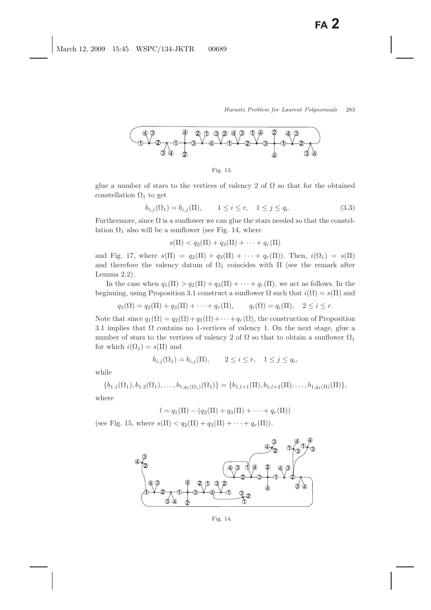

Fig. 13.

glue a number of stars to the vertices of valency 2 of  $\Omega$  so that for the obtained constellation  $\Omega_1$  to get

$$
b_{i,j}(\Omega_1) = b_{i,j}(\Pi), \qquad 1 \le i \le r, \quad 1 \le j \le q_i. \tag{3.3}
$$

Furthermore, since  $\Omega$  is a sunflower we can glue the stars needed so that the constellation  $\Omega_1$  also will be a sunflower (see Fig. 14, where

 $s(\Pi) < q_2(\Pi) + q_3(\Pi) + \cdots + q_r(\Pi)$ 

and Fig. 17, where  $s(\Pi) = q_2(\Pi) + q_3(\Pi) + \cdots + q_r(\Pi)$ . Then,  $i(\Omega_1) = s(\Pi)$ and therefore the valency datum of  $\Omega_1$  coincides with  $\Pi$  (see the remark after Lemma 2.2).

In the case when  $q_1(\Pi) > q_2(\Pi) + q_3(\Pi) + \cdots + q_r(\Pi)$ , we act as follows. In the beginning, using Proposition 3.1 construct a sunflower  $\Omega$  such that  $i(\Omega) = s(\Pi)$  and

 $q_1(\Omega) = q_2(\Pi) + q_3(\Pi) + \cdots + q_r(\Pi), \qquad q_i(\Omega) = q_i(\Pi), \quad 2 \leq i \leq r.$ 

Note that since  $q_1(\Omega) = q_2(\Omega) + q_3(\Omega) + \cdots + q_r(\Omega)$ , the construction of Proposition 3.1 implies that  $\Omega$  contains no 1-vertices of valency 1. On the next stage, glue a number of stars to the vertices of valency 2 of  $\Omega$  so that to obtain a sunflower  $\Omega_1$ for which  $i(\Omega_1) = s(\Pi)$  and

$$
b_{i,j}(\Omega_1) = b_{i,j}(\Pi), \qquad 2 \le i \le r, \quad 1 \le j \le q_i,
$$

while

$$
\{b_{1,1}(\Omega_1), b_{1,2}(\Omega_1), \ldots, b_{1,q_1(\Omega_1)}(\Omega_1)\} = \{b_{1,l+1}(\Pi), b_{1,l+2}(\Pi), \ldots, b_{1,q_1(\Pi)}(\Pi)\},\
$$

where

$$
l = q_1(\Pi) - (q_2(\Pi) + q_3(\Pi) + \cdots + q_r(\Pi))
$$

(see Fig. 15, where  $s(\Pi) < q_2(\Pi) + q_3(\Pi) + \cdots + q_r(\Pi)$ ).



Fig. 14.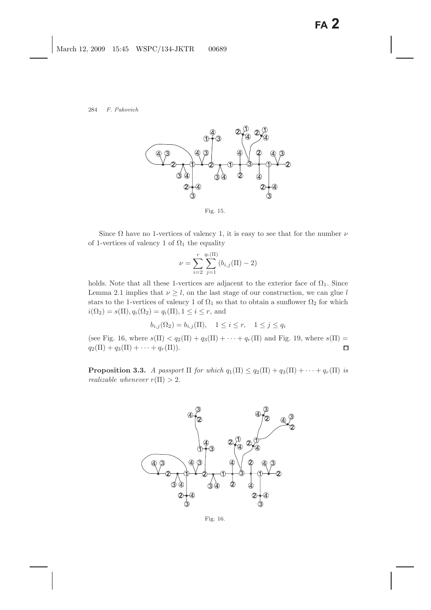

Fig. 15.

Since  $\Omega$  have no 1-vertices of valency 1, it is easy to see that for the number  $\nu$ of 1-vertices of valency 1 of  $\Omega_1$  the equality

$$
\nu = \sum_{i=2}^{r} \sum_{j=1}^{q_i(\Pi)} (b_{i,j}(\Pi) - 2)
$$

holds. Note that all these 1-vertices are adjacent to the exterior face of  $\Omega_1$ . Since Lemma 2.1 implies that  $\nu \geq l$ , on the last stage of our construction, we can glue l stars to the 1-vertices of valency 1 of  $\Omega_1$  so that to obtain a sunflower  $\Omega_2$  for which  $i(\Omega_2) = s(\Pi), q_i(\Omega_2) = q_i(\Pi), 1 \leq i \leq r$ , and

$$
b_{i,j}(\Omega_2) = b_{i,j}(\Pi), \quad 1 \le i \le r, \quad 1 \le j \le q_i
$$

(see Fig. 16, where  $s(\Pi) < q_2(\Pi) + q_3(\Pi) + \cdots + q_r(\Pi)$  and Fig. 19, where  $s(\Pi)$  =  $q_2(\Pi) + q_3(\Pi) + \cdots + q_r(\Pi)).$  $\Box$ 

**Proposition 3.3.** *A passport*  $\Pi$  *for which*  $q_1(\Pi) \leq q_2(\Pi) + q_3(\Pi) + \cdots + q_r(\Pi)$  *is realizable whenever*  $r(\Pi) > 2$ .



Fig. 16.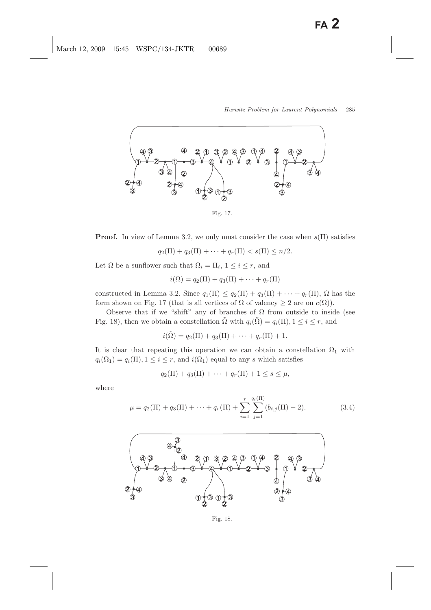

**Proof.** In view of Lemma 3.2, we only must consider the case when  $s(\Pi)$  satisfies

$$
q_2(\Pi) + q_3(\Pi) + \cdots + q_r(\Pi) < s(\Pi) \leq n/2.
$$

Let  $\Omega$  be a sunflower such that  $\Omega_i = \Pi_i$ ,  $1 \leq i \leq r$ , and

$$
i(\Omega) = q_2(\Pi) + q_3(\Pi) + \cdots + q_r(\Pi)
$$

constructed in Lemma 3.2. Since  $q_1(\Pi) \leq q_2(\Pi) + q_3(\Pi) + \cdots + q_r(\Pi)$ ,  $\Omega$  has the form shown on Fig. 17 (that is all vertices of  $\Omega$  of valency  $\geq 2$  are on  $c(\Omega)$ ).

Observe that if we "shift" any of branches of  $\Omega$  from outside to inside (see Fig. 18), then we obtain a constellation  $\tilde{\Omega}$  with  $q_i(\tilde{\Omega}) = q_i(\Pi), 1 \leq i \leq r$ , and

$$
i(\tilde{\Omega}) = q_2(\Pi) + q_3(\Pi) + \cdots + q_r(\Pi) + 1.
$$

It is clear that repeating this operation we can obtain a constellation  $\Omega_1$  with  $q_i(\Omega_1) = q_i(\Pi), 1 \leq i \leq r$ , and  $i(\Omega_1)$  equal to any s which satisfies

$$
q_2(\Pi) + q_3(\Pi) + \dots + q_r(\Pi) + 1 \le s \le \mu,
$$

where

$$
\mu = q_2(\Pi) + q_3(\Pi) + \dots + q_r(\Pi) + \sum_{i=1}^r \sum_{j=1}^{q_i(\Pi)} (b_{i,j}(\Pi) - 2).
$$
 (3.4)



Fig. 18.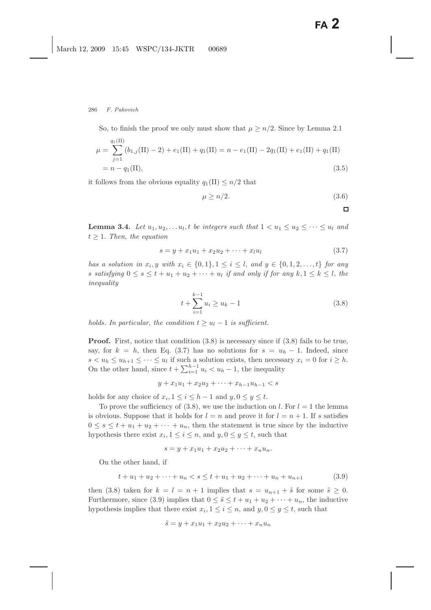So, to finish the proof we only must show that  $\mu \geq n/2$ . Since by Lemma 2.1

$$
\mu = \sum_{j=1}^{q_1(\Pi)} (b_{1,j}(\Pi) - 2) + e_1(\Pi) + q_1(\Pi) = n - e_1(\Pi) - 2q_1(\Pi) + e_1(\Pi) + q_1(\Pi)
$$
  
=  $n - q_1(\Pi)$ , (3.5)

it follows from the obvious equality  $q_1(\Pi) \leq n/2$  that

$$
\mu \ge n/2. \tag{3.6}
$$

 $\Box$ 

**Lemma 3.4.** *Let*  $u_1, u_2, \ldots, u_l$ , *t be integers such that*  $1 < u_1 \leq u_2 \leq \cdots \leq u_l$  *and*  $t \geq 1$ . *Then, the equation* 

$$
s = y + x_1 u_1 + x_2 u_2 + \dots + x_l u_l \tag{3.7}
$$

*has a solution in*  $x_i, y$  *with*  $x_i \in \{0,1\}, 1 \leq i \leq l$ , and  $y \in \{0,1,2,\ldots,t\}$  for any s satisfying  $0 \le s \le t + u_1 + u_2 + \cdots + u_l$  *if and only if for any*  $k, 1 \le k \le l$ , the *inequality*

$$
t + \sum_{i=1}^{k-1} u_i \ge u_k - 1 \tag{3.8}
$$

*holds. In particular, the condition*  $t \geq u_l - 1$  *is sufficient.* 

**Proof.** First, notice that condition  $(3.8)$  is necessary since if  $(3.8)$  fails to be true, say, for  $k = h$ , then Eq. (3.7) has no solutions for  $s = u_h - 1$ . Indeed, since  $s < u_h \leq u_{h+1} \leq \cdots \leq u_l$  if such a solution exists, then necessary  $x_i = 0$  for  $i \geq h$ . On the other hand, since  $t + \sum_{i=1}^{h-1} u_i < u_h - 1$ , the inequality

$$
y + x_1 u_1 + x_2 u_2 + \dots + x_{h-1} u_{h-1} < s
$$

holds for any choice of  $x_i, 1 \leq i \leq h-1$  and  $y, 0 \leq y \leq t$ .

To prove the sufficiency of (3.8), we use the induction on l. For  $l = 1$  the lemma is obvious. Suppose that it holds for  $l = n$  and prove it for  $l = n + 1$ . If s satisfies  $0 \leq s \leq t + u_1 + u_2 + \cdots + u_n$ , then the statement is true since by the inductive hypothesis there exist  $x_i, 1 \leq i \leq n$ , and  $y, 0 \leq y \leq t$ , such that

$$
s = y + x_1 u_1 + x_2 u_2 + \dots + x_n u_n.
$$

On the other hand, if

$$
t + u_1 + u_2 + \dots + u_n < s \leq t + u_1 + u_2 + \dots + u_n + u_{n+1} \tag{3.9}
$$

then (3.8) taken for  $k = l = n + 1$  implies that  $s = u_{n+1} + \tilde{s}$  for some  $\tilde{s} \geq 0$ . Furthermore, since (3.9) implies that  $0 \leq \tilde{s} \leq t + u_1 + u_2 + \cdots + u_n$ , the inductive hypothesis implies that there exist  $x_i, 1 \leq i \leq n$ , and  $y, 0 \leq y \leq t$ , such that

$$
\tilde{s} = y + x_1u_1 + x_2u_2 + \cdots + x_nu_n
$$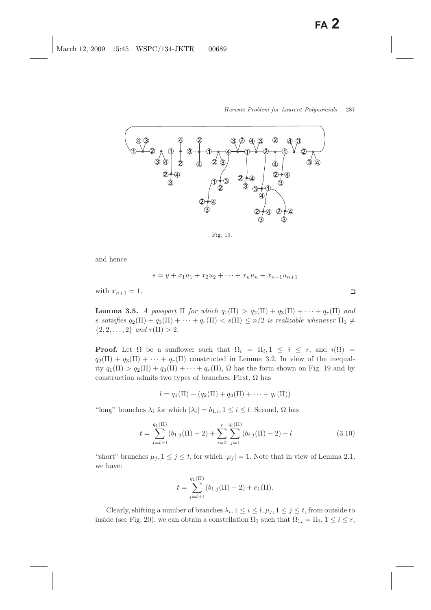

Fig. 19.

and hence

 $s = y + x_1u_1 + x_2u_2 + \cdots + x_nu_n + x_{n+1}u_{n+1}$ 

with  $x_{n+1} = 1$ .

**Lemma 3.5.** *A passport*  $\Pi$  *for which*  $q_1(\Pi) > q_2(\Pi) + q_3(\Pi) + \cdots + q_r(\Pi)$  and s satisfies  $q_2(\Pi) + q_3(\Pi) + \cdots + q_r(\Pi) < s(\Pi) \leq n/2$  is realizable whenever  $\Pi_1 \neq$  $\{2, 2, \ldots, 2\}$  *and*  $r(\Pi) > 2$ .

**Proof.** Let  $\Omega$  be a sunflower such that  $\Omega_i = \Pi_i, 1 \leq i \leq r$ , and  $i(\Omega)$  $q_2(\Pi) + q_3(\Pi) + \cdots + q_r(\Pi)$  constructed in Lemma 3.2. In view of the inequality  $q_1(\Pi) > q_2(\Pi) + q_3(\Pi) + \cdots + q_r(\Pi)$ ,  $\Omega$  has the form shown on Fig. 19 and by construction admits two types of branches. First,  $\Omega$  has

$$
l = q_1(\Pi) - (q_2(\Pi) + q_3(\Pi) + \cdots + q_r(\Pi))
$$

"long" branches  $\lambda_i$  for which  $|\lambda_i| = b_{1,i}, 1 \leq i \leq l$ . Second,  $\Omega$  has

$$
t = \sum_{j=l+1}^{q_1(\Pi)} (b_{1,j}(\Pi) - 2) + \sum_{i=2}^r \sum_{j=1}^{q_i(\Pi)} (b_{i,j}(\Pi) - 2) - l \tag{3.10}
$$

"short" branches  $\mu_j$ ,  $1 \leq j \leq t$ , for which  $|\mu_j| = 1$ . Note that in view of Lemma 2.1, we have:

$$
t = \sum_{j=l+1}^{q_1(\Pi)} (b_{1,j}(\Pi) - 2) + e_1(\Pi).
$$

Clearly, shifting a number of branches  $\lambda_i$ ,  $1 \leq i \leq l$ ,  $\mu_j$ ,  $1 \leq j \leq t$ , from outside to inside (see Fig. 20), we can obtain a constellation  $\Omega_1$  such that  $\Omega_{1i} = \Pi_i, 1 \leq i \leq r$ ,

 $\Box$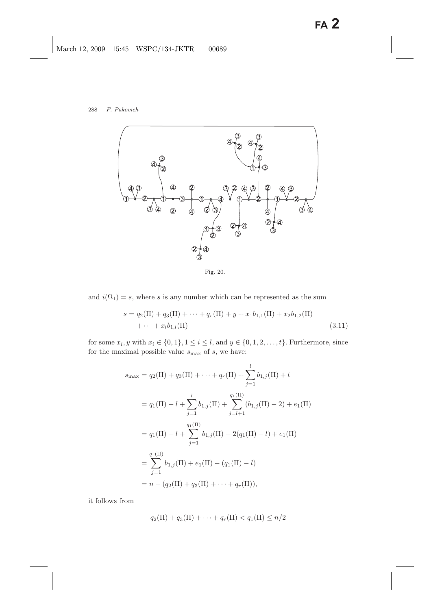

Fig. 20.

and  $i(\Omega_1) = s$ , where s is any number which can be represented as the sum

$$
s = q_2(\Pi) + q_3(\Pi) + \dots + q_r(\Pi) + y + x_1 b_{1,1}(\Pi) + x_2 b_{1,2}(\Pi)
$$
  
+ ... +  $x_l b_{1,l}(\Pi)$  (3.11)

for some  $x_i, y$  with  $x_i \in \{0, 1\}, 1 \le i \le l$ , and  $y \in \{0, 1, 2, \ldots, t\}$ . Furthermore, since for the maximal possible value  $s_{\rm max}$  of  $s,$  we have:

$$
s_{\max} = q_2(\Pi) + q_3(\Pi) + \cdots + q_r(\Pi) + \sum_{j=1}^{l} b_{1,j}(\Pi) + t
$$
  
\n
$$
= q_1(\Pi) - l + \sum_{j=1}^{l} b_{1,j}(\Pi) + \sum_{j=l+1}^{q_1(\Pi)} (b_{1,j}(\Pi) - 2) + e_1(\Pi)
$$
  
\n
$$
= q_1(\Pi) - l + \sum_{j=1}^{q_1(\Pi)} b_{1,j}(\Pi) - 2(q_1(\Pi) - l) + e_1(\Pi)
$$
  
\n
$$
= \sum_{j=1}^{q_1(\Pi)} b_{1,j}(\Pi) + e_1(\Pi) - (q_1(\Pi) - l)
$$
  
\n
$$
= n - (q_2(\Pi) + q_3(\Pi) + \cdots + q_r(\Pi)),
$$

it follows from

$$
q_2(\Pi) + q_3(\Pi) + \cdots + q_r(\Pi) < q_1(\Pi) \leq n/2
$$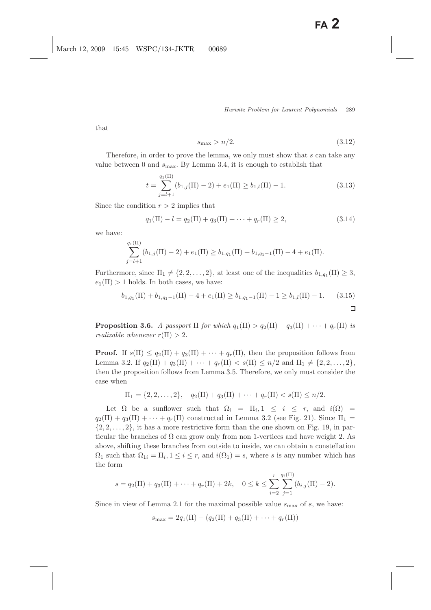that

$$
s_{\text{max}} > n/2. \tag{3.12}
$$

Therefore, in order to prove the lemma, we only must show that s can take any value between 0 and  $s_{\text{max}}$ . By Lemma 3.4, it is enough to establish that

$$
t = \sum_{j=l+1}^{q_1(\Pi)} (b_{1,j}(\Pi) - 2) + e_1(\Pi) \ge b_{1,l}(\Pi) - 1.
$$
 (3.13)

Since the condition  $r > 2$  implies that

$$
q_1(\Pi) - l = q_2(\Pi) + q_3(\Pi) + \dots + q_r(\Pi) \ge 2,
$$
\n(3.14)

we have:

$$
\sum_{j=l+1}^{q_1(\Pi)} (b_{1,j}(\Pi)-2)+e_1(\Pi)\geq b_{1,q_1}(\Pi)+b_{1,q_1-1}(\Pi)-4+e_1(\Pi).
$$

Furthermore, since  $\Pi_1 \neq \{2, 2, ..., 2\}$ , at least one of the inequalities  $b_{1,q_1}(\Pi) \geq 3$ ,  $e_1(\Pi) > 1$  holds. In both cases, we have:

$$
b_{1,q_1}(\Pi) + b_{1,q_1-1}(\Pi) - 4 + e_1(\Pi) \ge b_{1,q_1-1}(\Pi) - 1 \ge b_{1,l}(\Pi) - 1. \tag{3.15}
$$

**Proposition 3.6.** *A passport*  $\Pi$  *for which*  $q_1(\Pi) > q_2(\Pi) + q_3(\Pi) + \cdots + q_r(\Pi)$  *is realizable whenever*  $r(\Pi) > 2$ .

**Proof.** If  $s(\Pi) \leq q_2(\Pi) + q_3(\Pi) + \cdots + q_r(\Pi)$ , then the proposition follows from Lemma 3.2. If  $q_2(\Pi) + q_3(\Pi) + \cdots + q_r(\Pi) < s(\Pi) \leq n/2$  and  $\Pi_1 \neq \{2, 2, \ldots, 2\}$ , then the proposition follows from Lemma 3.5. Therefore, we only must consider the case when

$$
\Pi_1 = \{2, 2, ..., 2\}, \quad q_2(\Pi) + q_3(\Pi) + \cdots + q_r(\Pi) < s(\Pi) \leq n/2.
$$

Let  $\Omega$  be a sunflower such that  $\Omega_i = \Pi_i, 1 \leq i \leq r$ , and  $i(\Omega)$  $q_2(\Pi) + q_3(\Pi) + \cdots + q_r(\Pi)$  constructed in Lemma 3.2 (see Fig. 21). Since  $\Pi_1$  $\{2, 2, \ldots, 2\}$ , it has a more restrictive form than the one shown on Fig. 19, in particular the branches of  $\Omega$  can grow only from non 1-vertices and have weight 2. As above, shifting these branches from outside to inside, we can obtain a constellation  $\Omega_1$  such that  $\Omega_{1i} = \Pi_i, 1 \leq i \leq r$ , and  $i(\Omega_1) = s$ , where s is any number which has the form

$$
s = q_2(\Pi) + q_3(\Pi) + \dots + q_r(\Pi) + 2k, \quad 0 \le k \le \sum_{i=2}^r \sum_{j=1}^{q_i(\Pi)} (b_{i,j}(\Pi) - 2).
$$

Since in view of Lemma 2.1 for the maximal possible value  $s_{\text{max}}$  of s, we have:

$$
s_{\max} = 2q_1(\Pi) - (q_2(\Pi) + q_3(\Pi) + \cdots + q_r(\Pi))
$$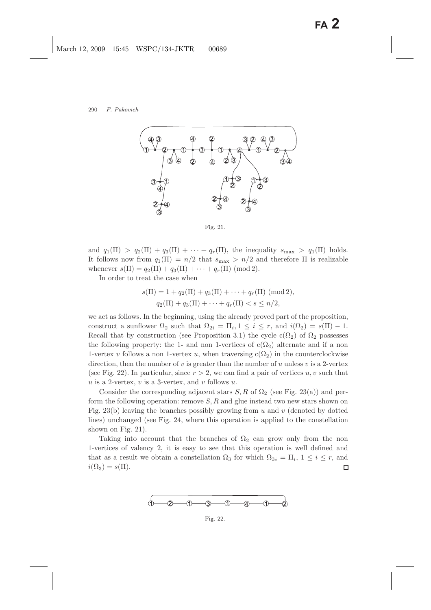

Fig. 21.

and  $q_1(\Pi) > q_2(\Pi) + q_3(\Pi) + \cdots + q_r(\Pi)$ , the inequality  $s_{\max} > q_1(\Pi)$  holds. It follows now from  $q_1(\Pi) = n/2$  that  $s_{\text{max}} > n/2$  and therefore  $\Pi$  is realizable whenever  $s(\Pi) = q_2(\Pi) + q_3(\Pi) + \cdots + q_r(\Pi) \pmod{2}$ .

In order to treat the case when

$$
s(\Pi) = 1 + q_2(\Pi) + q_3(\Pi) + \dots + q_r(\Pi) \pmod{2},
$$
  
 
$$
q_2(\Pi) + q_3(\Pi) + \dots + q_r(\Pi) < s \leq n/2,
$$

we act as follows. In the beginning, using the already proved part of the proposition, construct a sunflower  $\Omega_2$  such that  $\Omega_{2i} = \Pi_i, 1 \leq i \leq r$ , and  $i(\Omega_2) = s(\Pi) - 1$ . Recall that by construction (see Proposition 3.1) the cycle  $c(\Omega_2)$  of  $\Omega_2$  possesses the following property: the 1- and non 1-vertices of  $c(\Omega_2)$  alternate and if a non 1-vertex v follows a non 1-vertex u, when traversing  $c(\Omega_2)$  in the counterclockwise direction, then the number of v is greater than the number of u unless  $v$  is a 2-vertex (see Fig. 22). In particular, since  $r > 2$ , we can find a pair of vertices u, v such that u is a 2-vertex, v is a 3-vertex, and v follows  $u$ .

Consider the corresponding adjacent stars  $S, R$  of  $\Omega_2$  (see Fig. 23(a)) and perform the following operation: remove  $S, R$  and glue instead two new stars shown on Fig. 23(b) leaving the branches possibly growing from  $u$  and  $v$  (denoted by dotted lines) unchanged (see Fig. 24, where this operation is applied to the constellation shown on Fig. 21).

Taking into account that the branches of  $\Omega_2$  can grow only from the non 1-vertices of valency 2, it is easy to see that this operation is well defined and that as a result we obtain a constellation  $\Omega_3$  for which  $\Omega_{3i} = \Pi_i$ ,  $1 \leq i \leq r$ , and  $i(\Omega_3) = s(\Pi).$  $\Box$ 



Fig. 22.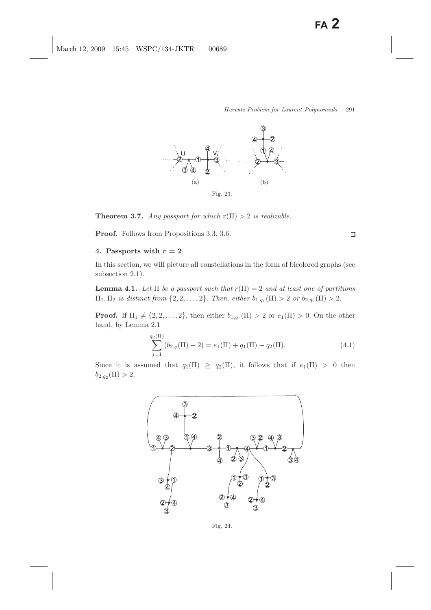

**Theorem 3.7.** *Any passport for which*  $r(\Pi) > 2$  *is realizable.* 

**Proof.** Follows from Propositions 3.3, 3.6.

## 4. Passports with  $r = 2$

In this section, we will picture all constellations in the form of bicolored graphs (see subsection 2.1).

**Lemma 4.1.** *Let*  $\Pi$  *be a passport such that*  $r(\Pi) = 2$  *and at least one of partitions*  $\Pi_1, \Pi_2$  *is distinct from*  $\{2, 2, ..., 2\}$ . *Then, either*  $b_{1,q_1}(\Pi) > 2$  *or*  $b_{2,q_2}(\Pi) > 2$ .

**Proof.** If  $\Pi_1 \neq \{2, 2, ..., 2\}$ , then either  $b_{1,q_1}(\Pi) > 2$  or  $e_1(\Pi) > 0$ . On the other hand, by Lemma 2.1

$$
\sum_{j=1}^{q_2(\Pi)} (b_{2,j}(\Pi) - 2) = e_1(\Pi) + q_1(\Pi) - q_2(\Pi). \tag{4.1}
$$

Since it is assumed that  $q_1(\Pi) \ge q_2(\Pi)$ , it follows that if  $e_1(\Pi) > 0$  then  $b_{2,q_2}(\Pi) > 2.$ 



Fig. 24.

 $\Box$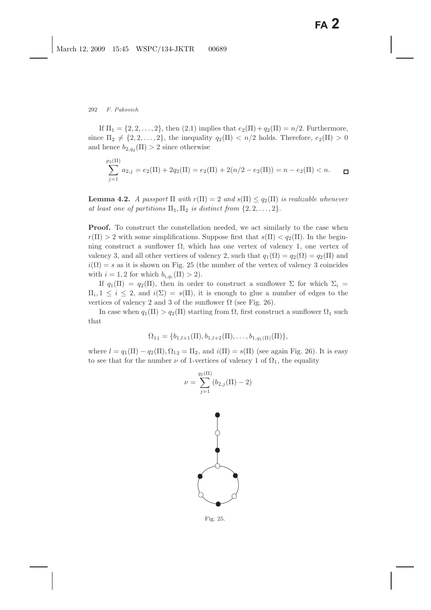If  $\Pi_1 = \{2, 2, ..., 2\}$ , then  $(2.1)$  implies that  $e_2(\Pi) + q_2(\Pi) = n/2$ . Furthermore, since  $\Pi_2 \neq \{2, 2, ..., 2\}$ , the inequality  $q_2(\Pi) < n/2$  holds. Therefore,  $e_2(\Pi) > 0$ and hence  $b_{2,q_2}(\Pi) > 2$  since otherwise

$$
\sum_{j=1}^{p_2(\Pi)} a_{2,j} = e_2(\Pi) + 2q_2(\Pi) = e_2(\Pi) + 2(n/2 - e_2(\Pi)) = n - e_2(\Pi) < n. \quad \Box
$$

**Lemma 4.2.** *A passport*  $\Pi$  *with*  $r(\Pi) = 2$  *and*  $s(\Pi) \leq q_2(\Pi)$  *is realizable whenever at least one of partitions*  $\Pi_1, \Pi_2$  *is distinct from*  $\{2, 2, \ldots, 2\}$ .

**Proof.** To construct the constellation needed, we act similarly to the case when  $r(\Pi) > 2$  with some simplifications. Suppose first that  $s(\Pi) < q_2(\Pi)$ . In the beginning construct a sunflower  $\Omega$ , which has one vertex of valency 1, one vertex of valency 3, and all other vertices of valency 2, such that  $q_1(\Omega) = q_2(\Omega) = q_2(\Pi)$  and  $i(\Omega) = s$  as it is shown on Fig. 25 (the number of the vertex of valency 3 coincides with  $i = 1, 2$  for which  $b_{i,q_i}(\Pi) > 2$ .

If  $q_1(\Pi) = q_2(\Pi)$ , then in order to construct a sunflower  $\Sigma$  for which  $\Sigma_i =$  $\Pi_i, 1 \leq i \leq 2$ , and  $i(\Sigma) = s(\Pi)$ , it is enough to glue a number of edges to the vertices of valency 2 and 3 of the sunflower  $\Omega$  (see Fig. 26).

In case when  $q_1(\Pi) > q_2(\Pi)$  starting from  $\Omega$ , first construct a sunflower  $\Omega_1$  such that

$$
\Omega_{11} = \{b_{1,l+1}(\Pi), b_{1,l+2}(\Pi), \ldots, b_{1,q_1(\Pi)}(\Pi)\},
$$

where  $l = q_1(\Pi) - q_2(\Pi), \Omega_{12} = \Pi_2$ , and  $i(\Pi) = s(\Pi)$  (see again Fig. 26). It is easy to see that for the number  $\nu$  of 1-vertices of valency 1 of  $\Omega_1$ , the equality

$$
\nu = \sum_{j=1}^{q_2(\Pi)} (b_{2,j}(\Pi) - 2)
$$



Fig. 25.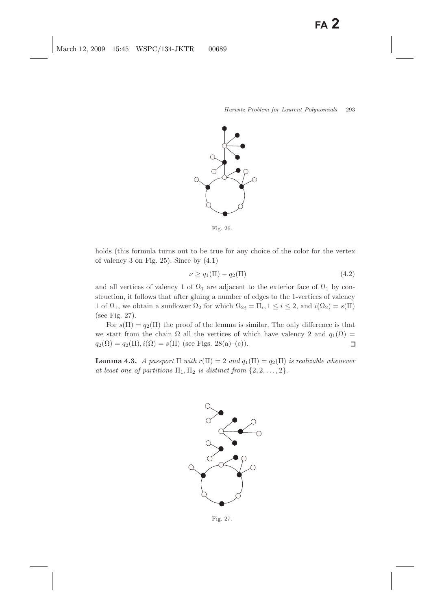

Fig. 26.

holds (this formula turns out to be true for any choice of the color for the vertex of valency 3 on Fig. 25). Since by (4.1)

$$
\nu \ge q_1(\Pi) - q_2(\Pi) \tag{4.2}
$$

and all vertices of valency 1 of  $\Omega_1$  are adjacent to the exterior face of  $\Omega_1$  by construction, it follows that after gluing a number of edges to the 1-vertices of valency 1 of  $\Omega_1$ , we obtain a sunflower  $\Omega_2$  for which  $\Omega_{2i} = \Pi_i$ ,  $1 \leq i \leq 2$ , and  $i(\Omega_2) = s(\Pi)$ (see Fig. 27).

For  $s(\Pi) = q_2(\Pi)$  the proof of the lemma is similar. The only difference is that we start from the chain  $\Omega$  all the vertices of which have valency 2 and  $q_1(\Omega)$  =  $q_2(\Omega) = q_2(\Pi), i(\Omega) = s(\Pi)$  (see Figs. 28(a)–(c)).  $\Box$ 

**Lemma 4.3.** *A passport*  $\Pi$  *with*  $r(\Pi) = 2$  *and*  $q_1(\Pi) = q_2(\Pi)$  *is realizable whenever at least one of partitions*  $\Pi_1, \Pi_2$  *is distinct from*  $\{2, 2, \ldots, 2\}$ .



Fig. 27.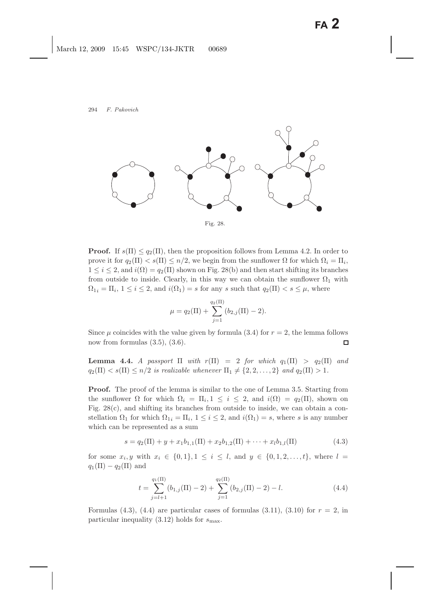

**Proof.** If  $s(\Pi) \leq q_2(\Pi)$ , then the proposition follows from Lemma 4.2. In order to prove it for  $q_2(\Pi) < s(\Pi) \leq n/2$ , we begin from the sunflower  $\Omega$  for which  $\Omega_i = \Pi_i$ ,  $1 \leq i \leq 2$ , and  $i(\Omega) = q_2(\Pi)$  shown on Fig. 28(b) and then start shifting its branches from outside to inside. Clearly, in this way we can obtain the sunflower  $\Omega_1$  with  $\Omega_{1i} = \Pi_i, 1 \leq i \leq 2$ , and  $i(\Omega_1) = s$  for any s such that  $q_2(\Pi) < s \leq \mu$ , where

$$
\mu = q_2(\Pi) + \sum_{j=1}^{q_2(\Pi)} (b_{2,j}(\Pi) - 2).
$$

Since  $\mu$  coincides with the value given by formula (3.4) for  $r = 2$ , the lemma follows now from formulas  $(3.5)$ ,  $(3.6)$ .  $\Box$ 

**Lemma 4.4.** *A passport*  $\Pi$  *with*  $r(\Pi) = 2$  *for which*  $q_1(\Pi) > q_2(\Pi)$  *and*  $q_2(\Pi) < s(\Pi) \leq n/2$  *is realizable whenever*  $\Pi_1 \neq \{2, 2, ..., 2\}$  *and*  $q_2(\Pi) > 1$ *.* 

**Proof.** The proof of the lemma is similar to the one of Lemma 3.5. Starting from the sunflower  $\Omega$  for which  $\Omega_i = \Pi_i, 1 \leq i \leq 2$ , and  $i(\Omega) = q_2(\Pi)$ , shown on Fig.  $28(c)$ , and shifting its branches from outside to inside, we can obtain a constellation  $\Omega_1$  for which  $\Omega_{1i} = \Pi_i$ ,  $1 \leq i \leq 2$ , and  $i(\Omega_1) = s$ , where s is any number which can be represented as a sum

$$
s = q_2(\Pi) + y + x_1 b_{1,1}(\Pi) + x_2 b_{1,2}(\Pi) + \dots + x_l b_{1,l}(\Pi)
$$
\n(4.3)

for some  $x_i, y$  with  $x_i \in \{0, 1\}, 1 \le i \le l$ , and  $y \in \{0, 1, 2, ..., t\}$ , where  $l =$  $q_1(\Pi) - q_2(\Pi)$  and

$$
t = \sum_{j=l+1}^{q_1(\Pi)} (b_{1,j}(\Pi) - 2) + \sum_{j=1}^{q_2(\Pi)} (b_{2,j}(\Pi) - 2) - l.
$$
 (4.4)

Formulas (4.3), (4.4) are particular cases of formulas (3.11), (3.10) for  $r = 2$ , in particular inequality  $(3.12)$  holds for  $s_{\text{max}}$ .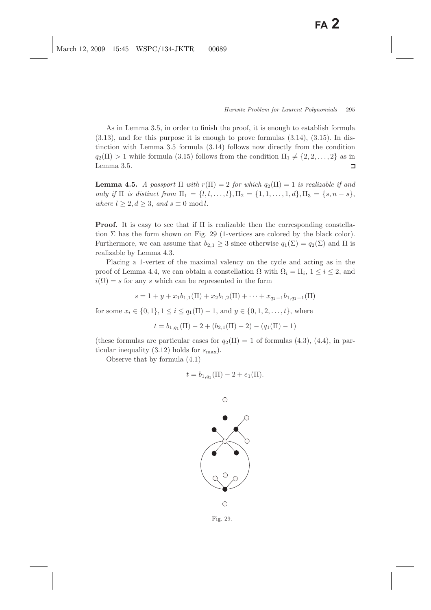As in Lemma 3.5, in order to finish the proof, it is enough to establish formula  $(3.13)$ , and for this purpose it is enough to prove formulas  $(3.14)$ ,  $(3.15)$ . In distinction with Lemma 3.5 formula (3.14) follows now directly from the condition  $q_2(\Pi) > 1$  while formula (3.15) follows from the condition  $\Pi_1 \neq \{2, 2, \ldots, 2\}$  as in Lemma 3.5.  $\Box$ 

**Lemma 4.5.** *A passport*  $\Pi$  *with*  $r(\Pi) = 2$  *for which*  $q_2(\Pi) = 1$  *is realizable if and only if*  $\Pi$  *is distinct from*  $\Pi_1 = \{l, l, ..., l\}, \Pi_2 = \{1, 1, ..., 1, d\}, \Pi_3 = \{s, n - s\},\$ *where*  $l \geq 2, d \geq 3$ , and  $s \equiv 0 \mod l$ .

**Proof.** It is easy to see that if Π is realizable then the corresponding constellation  $\Sigma$  has the form shown on Fig. 29 (1-vertices are colored by the black color). Furthermore, we can assume that  $b_{2,1} \geq 3$  since otherwise  $q_1(\Sigma) = q_2(\Sigma)$  and  $\Pi$  is realizable by Lemma 4.3.

Placing a 1-vertex of the maximal valency on the cycle and acting as in the proof of Lemma 4.4, we can obtain a constellation  $\Omega$  with  $\Omega_i = \Pi_i$ ,  $1 \leq i \leq 2$ , and  $i(\Omega) = s$  for any s which can be represented in the form

$$
s = 1 + y + x_1 b_{1,1}(\Pi) + x_2 b_{1,2}(\Pi) + \dots + x_{q_1 - 1} b_{1,q_1 - 1}(\Pi)
$$

for some  $x_i \in \{0, 1\}, 1 \le i \le q_1(\Pi) - 1$ , and  $y \in \{0, 1, 2, ..., t\}$ , where

$$
t = b_{1,q_1}(\Pi) - 2 + (b_{2,1}(\Pi) - 2) - (q_1(\Pi) - 1)
$$

(these formulas are particular cases for  $q_2(\Pi) = 1$  of formulas (4.3), (4.4), in particular inequality (3.12) holds for  $s_{\text{max}}$ ).

Observe that by formula (4.1)

$$
t = b_{1,q_1}(\Pi) - 2 + e_1(\Pi).
$$



Fig. 29.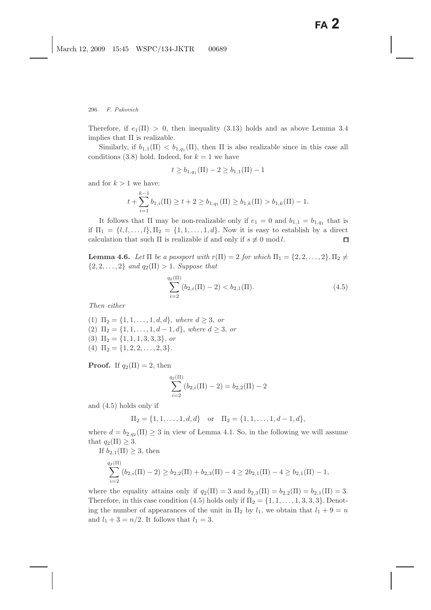Therefore, if  $e_1(\Pi) > 0$ , then inequality (3.13) holds and as above Lemma 3.4 implies that  $\Pi$  is realizable.

Similarly, if  $b_{1,1}(\Pi) < b_{1,q_1}(\Pi)$ , then  $\Pi$  is also realizable since in this case all conditions (3.8) hold. Indeed, for  $k = 1$  we have

$$
t \ge b_{1,q_1}(\Pi) - 2 \ge b_{1,1}(\Pi) - 1
$$

and for  $k > 1$  we have:

$$
t + \sum_{i=1}^{k-1} b_{1,i}(\Pi) \ge t + 2 \ge b_{1,q_1}(\Pi) \ge b_{1,k}(\Pi) > b_{1,k}(\Pi) - 1.
$$

It follows that  $\Pi$  may be non-realizable only if  $e_1 = 0$  and  $b_{1,1} = b_{1,q_1}$  that is if  $\Pi_1 = \{l, l, \ldots, l\}, \Pi_2 = \{1, 1, \ldots, 1, d\}.$  Now it is easy to establish by a direct calculation that such  $\Pi$  is realizable if and only if  $s \not\equiv 0 \mod l$ .  $\Box$ 

**Lemma 4.6.** Let  $\Pi$  be a passport with  $r(\Pi) = 2$  for which  $\Pi_1 = \{2, 2, ..., 2\}, \Pi_2 \neq \Pi_1$  $\{2, 2, ..., 2\}$  *and*  $q_2(\Pi) > 1$ *. Suppose that* 

$$
\sum_{i=2}^{q_2(\Pi)} (b_{2,i}(\Pi) - 2) < b_{2,1}(\Pi). \tag{4.5}
$$

*Then either*

(1)  $\Pi_2 = \{1, 1, \ldots, 1, d, d\}$ , *where*  $d \geq 3$ , *or* (2)  $\Pi_2 = \{1, 1, \ldots, 1, d - 1, d\}$ , *where*  $d \geq 3$ , *or* (3)  $\Pi_2 = \{1, 1, 1, 3, 3, 3\}$ , *or* (4)  $\Pi_2 = \{1, 2, 2, \ldots, 2, 3\}.$ 

**Proof.** If  $q_2(\Pi) = 2$ , then

$$
\sum_{i=2}^{q_2(\Pi)} (b_{2,i}(\Pi)-2) = b_{2,2}(\Pi)-2
$$

and (4.5) holds only if

$$
\Pi_2 = \{1, 1, \dots, 1, d, d\} \text{ or } \Pi_2 = \{1, 1, \dots, 1, d - 1, d\},
$$

where  $d = b_{2,q_2}(\Pi) \geq 3$  in view of Lemma 4.1. So, in the following we will assume that  $q_2(\Pi) \geq 3$ .

If  $b_{2,1}(\Pi) \geq 3$ , then

$$
\sum_{i=2}^{q_2(\Pi)} (b_{2,i}(\Pi)-2) \ge b_{2,2}(\Pi) + b_{2,3}(\Pi) - 4 \ge 2b_{2,1}(\Pi) - 4 \ge b_{2,1}(\Pi) - 1,
$$

where the equality attains only if  $q_2(\Pi) = 3$  and  $b_{2,3}(\Pi) = b_{2,2}(\Pi) = b_{2,1}(\Pi) = 3$ . Therefore, in this case condition (4.5) holds only if  $\Pi_2 = \{1, 1, \ldots, 1, 3, 3, 3\}$ . Denoting the number of appearances of the unit in  $\Pi_2$  by  $l_1$ , we obtain that  $l_1 + 9 = n$ and  $l_1 + 3 = n/2$ . It follows that  $l_1 = 3$ .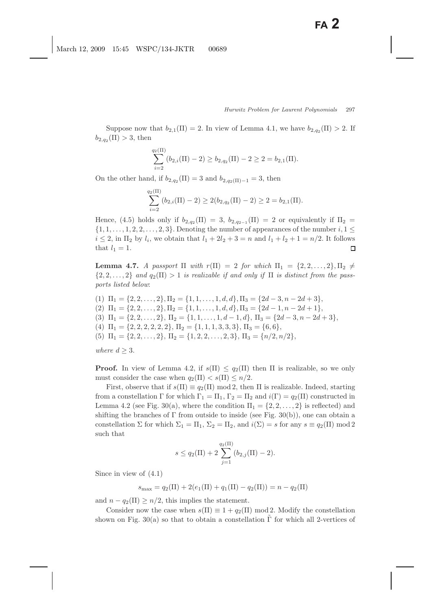Suppose now that  $b_{2,1}(\Pi) = 2$ . In view of Lemma 4.1, we have  $b_{2,q_2}(\Pi) > 2$ . If  $b_{2,q_2}(\Pi) > 3$ , then

$$
\sum_{i=2}^{q_2(\Pi)} (b_{2,i}(\Pi)-2) \ge b_{2,q_2}(\Pi)-2 \ge 2 = b_{2,1}(\Pi).
$$

On the other hand, if  $b_{2,q_2}(\Pi) = 3$  and  $b_{2,q_2(\Pi)-1} = 3$ , then

$$
\sum_{i=2}^{q_2(\Pi)} (b_{2,i}(\Pi)-2) \ge 2(b_{2,q_2}(\Pi)-2) \ge 2 = b_{2,1}(\Pi).
$$

Hence, (4.5) holds only if  $b_{2,q_2}(\Pi) = 3$ ,  $b_{2,q_{2-1}}(\Pi) = 2$  or equivalently if  $\Pi_2 =$  $\{1, 1, \ldots, 1, 2, 2, \ldots, 2, 3\}$ . Denoting the number of appearances of the number  $i, 1 \leq$  $i \leq 2$ , in  $\Pi_2$  by  $l_i$ , we obtain that  $l_1 + 2l_2 + 3 = n$  and  $l_1 + l_2 + 1 = n/2$ . It follows that  $l_1 = 1$ . П

**Lemma 4.7.** *A passport*  $\Pi$  *with*  $r(\Pi) = 2$  *for which*  $\Pi_1 = \{2, 2, ..., 2\}, \Pi_2 \neq \emptyset$  $\{2, 2, \ldots, 2\}$  and  $q_2(\Pi) > 1$  is realizable if and only if  $\Pi$  is distinct from the pass*ports listed below*:

(1)  $\Pi_1 = \{2, 2, \ldots, 2\}, \Pi_2 = \{1, 1, \ldots, 1, d, d\}, \Pi_3 = \{2d - 3, n - 2d + 3\},\$ (2)  $\Pi_1 = \{2, 2, \ldots, 2\}, \Pi_2 = \{1, 1, \ldots, 1, d, d\}, \Pi_3 = \{2d - 1, n - 2d + 1\},\$ (3)  $\Pi_1 = \{2, 2, \ldots, 2\}, \Pi_2 = \{1, 1, \ldots, 1, d - 1, d\}, \Pi_3 = \{2d - 3, n - 2d + 3\},\$ (4)  $\Pi_1 = \{2, 2, 2, 2, 2, 2\}, \Pi_2 = \{1, 1, 1, 3, 3, 3\}, \Pi_3 = \{6, 6\},\$ (5)  $\Pi_1 = \{2, 2, \ldots, 2\}, \Pi_2 = \{1, 2, 2, \ldots, 2, 3\}, \Pi_3 = \{n/2, n/2\},\$ 

*where*  $d \geq 3$ *.* 

**Proof.** In view of Lemma 4.2, if  $s(\Pi) \leq q_2(\Pi)$  then  $\Pi$  is realizable, so we only must consider the case when  $q_2(\Pi) < s(\Pi) \leq n/2$ .

First, observe that if  $s(\Pi) \equiv q_2(\Pi) \mod 2$ , then  $\Pi$  is realizable. Indeed, starting from a constellation  $\Gamma$  for which  $\Gamma_1 = \Pi_1$ ,  $\Gamma_2 = \Pi_2$  and  $i(\Gamma) = q_2(\Pi)$  constructed in Lemma 4.2 (see Fig. 30(a), where the condition  $\Pi_1 = \{2, 2, ..., 2\}$  is reflected) and shifting the branches of  $\Gamma$  from outside to inside (see Fig. 30(b)), one can obtain a constellation  $\Sigma$  for which  $\Sigma_1 = \Pi_1$ ,  $\Sigma_2 = \Pi_2$ , and  $i(\Sigma) = s$  for any  $s \equiv q_2(\Pi) \mod 2$ such that

$$
s \leq q_2(\Pi) + 2 \sum_{j=1}^{q_2(\Pi)} (b_{2,j}(\Pi) - 2).
$$

Since in view of (4.1)

 $s_{\text{max}} = q_2(\Pi) + 2(e_1(\Pi) + q_1(\Pi) - q_2(\Pi)) = n - q_2(\Pi)$ 

and  $n - q_2(\Pi) \geq n/2$ , this implies the statement.

Consider now the case when  $s(\Pi) \equiv 1 + q_2(\Pi) \mod 2$ . Modify the constellation shown on Fig. 30(a) so that to obtain a constellation  $\Gamma$  for which all 2-vertices of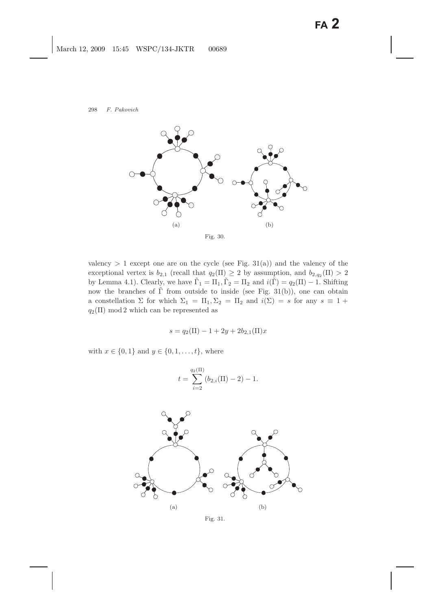

valency  $> 1$  except one are on the cycle (see Fig. 31(a)) and the valency of the exceptional vertex is  $b_{2,1}$  (recall that  $q_2(\Pi) \geq 2$  by assumption, and  $b_{2,q_2}(\Pi) > 2$ by Lemma 4.1). Clearly, we have  $\tilde{\Gamma}_1 = \Pi_1, \tilde{\Gamma}_2 = \Pi_2$  and  $i(\tilde{\Gamma}) = q_2(\Pi) - 1$ . Shifting now the branches of  $\tilde{\Gamma}$  from outside to inside (see Fig. 31(b)), one can obtain a constellation  $\Sigma$  for which  $\Sigma_1 = \Pi_1, \Sigma_2 = \Pi_2$  and  $i(\Sigma) = s$  for any  $s \equiv 1 +$  $q_2(\Pi) \mod 2$  which can be represented as

$$
s = q_2(\Pi) - 1 + 2y + 2b_{2,1}(\Pi)x
$$

with  $x \in \{0, 1\}$  and  $y \in \{0, 1, ..., t\}$ , where

$$
t = \sum_{i=2}^{q_2(\Pi)} (b_{2,i}(\Pi) - 2) - 1.
$$



Fig. 31.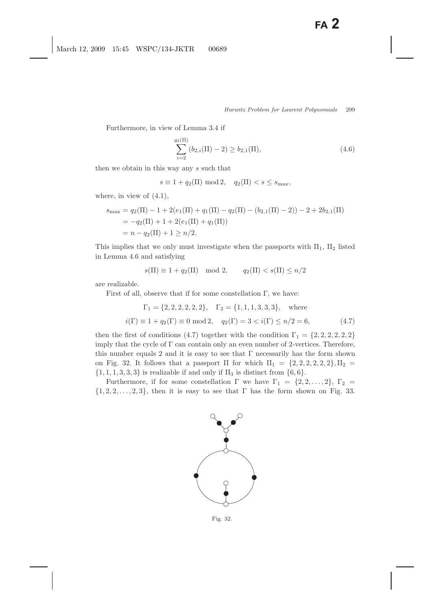Furthermore, in view of Lemma 3.4 if

$$
\sum_{i=2}^{q_2(\Pi)} (b_{2,i}(\Pi) - 2) \ge b_{2,1}(\Pi),
$$
\n(4.6)

then we obtain in this way any s such that

$$
s \equiv 1 + q_2(\Pi) \mod 2, \quad q_2(\Pi) < s \le s_{\max},
$$

where, in view of  $(4.1)$ ,

$$
s_{\max} = q_2(\Pi) - 1 + 2(e_1(\Pi) + q_1(\Pi) - q_2(\Pi) - (b_{2,1}(\Pi) - 2)) - 2 + 2b_{2,1}(\Pi)
$$
  
=  $-q_2(\Pi) + 1 + 2(e_1(\Pi) + q_1(\Pi))$   
=  $n - q_2(\Pi) + 1 \ge n/2$ .

This implies that we only must investigate when the passports with  $\Pi_1$ ,  $\Pi_2$  listed in Lemma 4.6 and satisfying

 $s(\Pi) \equiv 1 + q_2(\Pi) \mod 2, \qquad q_2(\Pi) < s(\Pi) \leq n/2$ 

are realizable.

First of all, observe that if for some constellation  $\Gamma$ , we have:

$$
\Gamma_1 = \{2, 2, 2, 2, 2, 2\}, \quad \Gamma_2 = \{1, 1, 1, 3, 3, 3\}, \quad \text{where}
$$
\n
$$
i(\Gamma) \equiv 1 + q_2(\Gamma) \equiv 0 \mod 2, \quad q_2(\Gamma) = 3 < i(\Gamma) \le n/2 = 6,\tag{4.7}
$$

then the first of conditions (4.7) together with the condition  $\Gamma_1 = \{2, 2, 2, 2, 2, 2\}$ imply that the cycle of Γ can contain only an even number of 2-vertices. Therefore, this number equals 2 and it is easy to see that  $\Gamma$  necessarily has the form shown on Fig. 32. It follows that a passport  $\Pi$  for which  $\Pi_1 = \{2, 2, 2, 2, 2, 2\}, \Pi_2 =$  $\{1, 1, 1, 3, 3, 3\}$  is realizable if and only if  $\Pi_3$  is distinct from  $\{6, 6\}.$ 

Furthermore, if for some constellation  $\Gamma$  we have  $\Gamma_1 = \{2, 2, ..., 2\}, \Gamma_2 =$  $\{1, 2, 2, \ldots, 2, 3\}$ , then it is easy to see that  $\Gamma$  has the form shown on Fig. 33.



Fig. 32.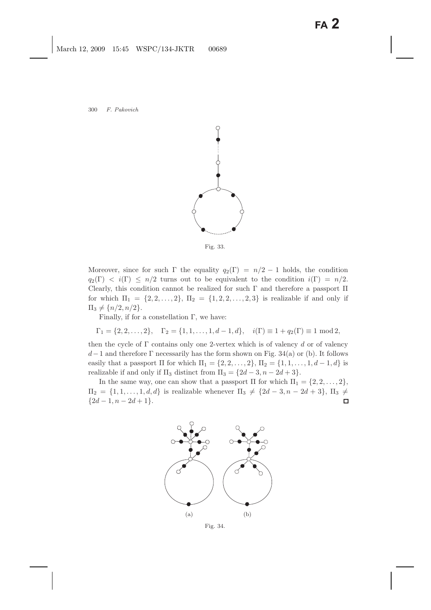

Fig. 33.

Moreover, since for such  $\Gamma$  the equality  $q_2(\Gamma) = n/2 - 1$  holds, the condition  $q_2(\Gamma) < i(\Gamma) \leq n/2$  turns out to be equivalent to the condition  $i(\Gamma) = n/2$ . Clearly, this condition cannot be realized for such  $\Gamma$  and therefore a passport  $\Pi$ for which  $\Pi_1 = \{2, 2, ..., 2\}, \Pi_2 = \{1, 2, 2, ..., 2, 3\}$  is realizable if and only if  $\Pi_3 \neq \{n/2, n/2\}.$ 

Finally, if for a constellation  $\Gamma$ , we have:

$$
\Gamma_1 = \{2, 2, ..., 2\}, \quad \Gamma_2 = \{1, 1, ..., 1, d - 1, d\}, \quad i(\Gamma) \equiv 1 + q_2(\Gamma) \equiv 1 \mod 2,
$$

then the cycle of  $\Gamma$  contains only one 2-vertex which is of valency d or of valency  $d-1$  and therefore  $\Gamma$  necessarily has the form shown on Fig. 34(a) or (b). It follows easily that a passport  $\Pi$  for which  $\Pi_1 = \{2, 2, ..., 2\}$ ,  $\Pi_2 = \{1, 1, ..., 1, d-1, d\}$  is realizable if and only if  $\Pi_3$  distinct from  $\Pi_3 = \{2d - 3, n - 2d + 3\}.$ 

In the same way, one can show that a passport  $\Pi$  for which  $\Pi_1 = \{2, 2, \ldots, 2\}$ ,  $\Pi_2 = \{1, 1, \ldots, 1, d, d\}$  is realizable whenever  $\Pi_3 \neq \{2d-3, n-2d+3\}$ ,  $\Pi_3 \neq$  ${2d-1, n-2d+1}.$  $\Box$ 



Fig. 34.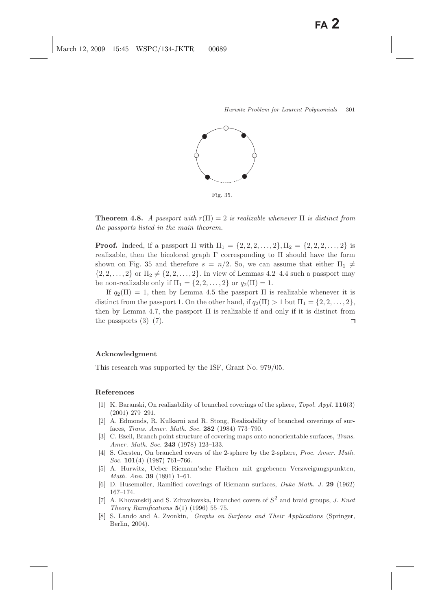

Fig. 35.

**Theorem 4.8.** *A passport with*  $r(\Pi) = 2$  *is realizable whenever*  $\Pi$  *is distinct from the passports listed in the main theorem.*

**Proof.** Indeed, if a passport  $\Pi$  with  $\Pi_1 = \{2, 2, 2, ..., 2\}, \Pi_2 = \{2, 2, 2, ..., 2\}$  is realizable, then the bicolored graph  $\Gamma$  corresponding to  $\Pi$  should have the form shown on Fig. 35 and therefore  $s = n/2$ . So, we can assume that either  $\Pi_1 \neq$  $\{2, 2, ..., 2\}$  or  $\Pi_2 \neq \{2, 2, ..., 2\}$ . In view of Lemmas 4.2–4.4 such a passport may be non-realizable only if  $\Pi_1 = \{2, 2, ..., 2\}$  or  $q_2(\Pi) = 1$ .

If  $q_2(\Pi) = 1$ , then by Lemma 4.5 the passport  $\Pi$  is realizable whenever it is distinct from the passport 1. On the other hand, if  $q_2(\Pi) > 1$  but  $\Pi_1 = \{2, 2, \ldots, 2\}$ , then by Lemma 4.7, the passport  $\Pi$  is realizable if and only if it is distinct from the passports  $(3)-(7)$ .  $\Box$ 

### **Acknowledgment**

This research was supported by the ISF, Grant No. 979/05.

#### **References**

- [1] K. Baranski, On realizability of branched coverings of the sphere, *Topol. Appl.* **116**(3) (2001) 279–291.
- [2] A. Edmonds, R. Kulkarni and R. Stong, Realizability of branched coverings of surfaces, *Trans. Amer. Math. Soc.* **282** (1984) 773–790.
- [3] C. Ezell, Branch point structure of covering maps onto nonorientable surfaces, *Trans. Amer. Math. Soc.* **243** (1978) 123–133.
- [4] S. Gersten, On branched covers of the 2-sphere by the 2-sphere, *Proc. Amer. Math. Soc.* **101**(4) (1987) 761–766.
- [5] A. Hurwitz, Ueber Riemann'sche Fla¨chen mit gegebenen Verzweigungspunkten, *Math. Ann.* **39** (1891) 1–61.
- [6] D. Husemoller, Ramified coverings of Riemann surfaces, *Duke Math. J.* **29** (1962) 167–174.
- [7] A. Khovanskij and S. Zdravkovska, Branched covers of *S*<sup>2</sup> and braid groups, *J. Knot Theory Ramifications* **5**(1) (1996) 55–75.
- [8] S. Lando and A. Zvonkin, *Graphs on Surfaces and Their Applications* (Springer, Berlin, 2004).